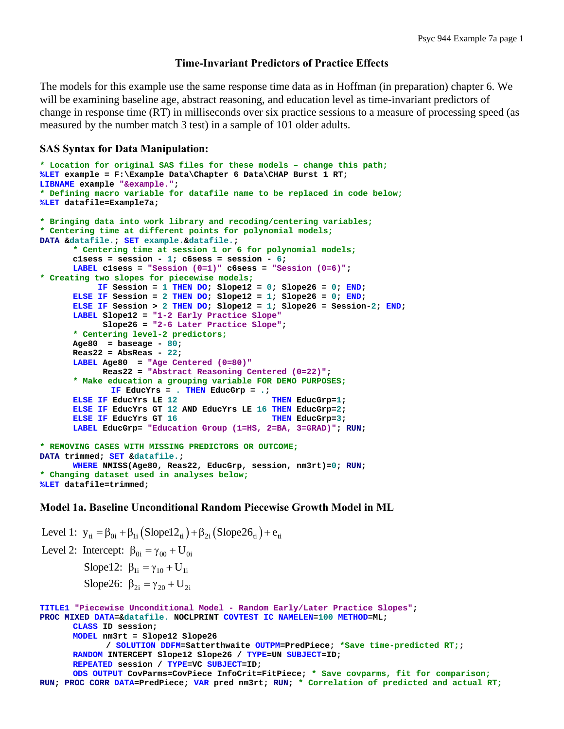## **Time-Invariant Predictors of Practice Effects**

The models for this example use the same response time data as in Hoffman (in preparation) chapter 6. We will be examining baseline age, abstract reasoning, and education level as time-invariant predictors of change in response time (RT) in milliseconds over six practice sessions to a measure of processing speed (as measured by the number match 3 test) in a sample of 101 older adults.

### **SAS Syntax for Data Manipulation:**

```
* Location for original SAS files for these models – change this path;
%LET example = F:\Example Data\Chapter 6 Data\CHAP Burst 1 RT; 
LIBNAME example "&example."; 
* Defining macro variable for datafile name to be replaced in code below;
%LET datafile=Example7a; 
* Bringing data into work library and recoding/centering variables;
* Centering time at different points for polynomial models;
DATA &datafile.; SET example.&datafile.; 
       * Centering time at session 1 or 6 for polynomial models;
       c1sess = session - 1; c6sess = session - 6; 
      LABEL c1sess = "Session (0=1)" c6sess = "Session (0=6)"; 
* Creating two slopes for piecewise models;
            IF Session = 1 THEN DO; Slope12 = 0; Slope26 = 0; END; 
      ELSE IF Session = 2 THEN DO; Slope12 = 1; Slope26 = 0; END; 
      ELSE IF Session > 2 THEN DO; Slope12 = 1; Slope26 = Session-2; END; 
      LABEL Slope12 = "1-2 Early Practice Slope"
             Slope26 = "2-6 Later Practice Slope"; 
      * Centering level-2 predictors;
       Age80 = baseage - 80; 
       Reas22 = AbsReas - 22; 
      LABEL Age80 = "Age Centered (0=80)" 
             Reas22 = "Abstract Reasoning Centered (0=22)"; 
      * Make education a grouping variable FOR DEMO PURPOSES;
              IF EducYrs = . THEN EducGrp = .; 
      ELSE IF EducYrs LE 12 THEN EducGrp=1;
      ELSE IF EducYrs GT 12 AND EducYrs LE 16 THEN EducGrp=2; 
      ELSE IF EducYrs GT 16
      LABEL EducGrp= "Education Group (1=HS, 2=BA, 3=GRAD)"; RUN; 
* REMOVING CASES WITH MISSING PREDICTORS OR OUTCOME;
DATA trimmed; SET &datafile.; 
      WHERE NMISS(Age80, Reas22, EducGrp, session, nm3rt)=0; RUN; 
* Changing dataset used in analyses below;
%LET datafile=trimmed;
```
### **Model 1a. Baseline Unconditional Random Piecewise Growth Model in ML**

Level 1:  $y_{ti} = \beta_{0i} + \beta_{1i} (Slope12_{ti}) + \beta_{2i} (Slope26_{ti}) + e_{ti}$ Level 2: Intercept:  $\beta_{0i} = \gamma_{00} + U_{0i}$ Slope12:  $\beta_{1i} = \gamma_{10} + U_{1i}$ Slope26:  $\beta_{2i} = \gamma_{20} + U_{2i}$ **TITLE1 "Piecewise Unconditional Model - Random Early/Later Practice Slopes"; PROC MIXED DATA=&datafile. NOCLPRINT COVTEST IC NAMELEN=100 METHOD=ML; CLASS ID session; MODEL nm3rt = Slope12 Slope26 / SOLUTION DDFM=Satterthwaite OUTPM=PredPiece; \*Save time-predicted RT;; RANDOM INTERCEPT Slope12 Slope26 / TYPE=UN SUBJECT=ID; REPEATED session / TYPE=VC SUBJECT=ID; ODS OUTPUT CovParms=CovPiece InfoCrit=FitPiece; \* Save covparms, fit for comparison; RUN; PROC CORR DATA=PredPiece; VAR pred nm3rt; RUN; \* Correlation of predicted and actual RT;**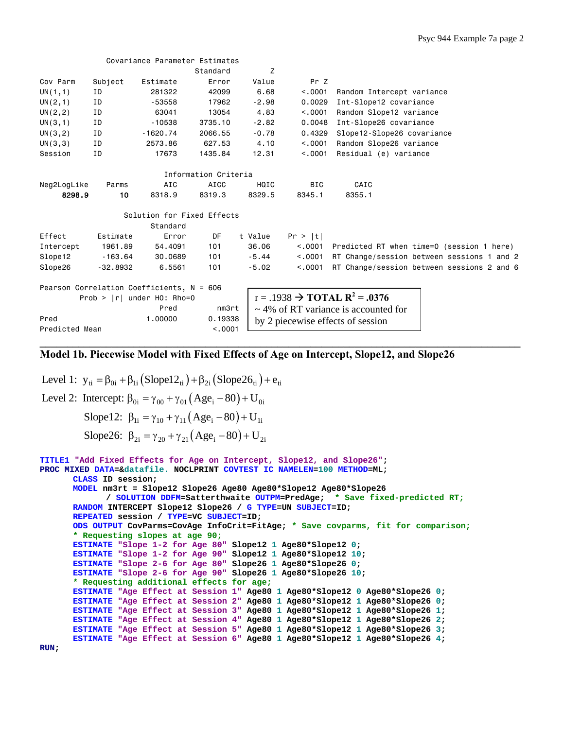|                |            | Covariance Parameter Estimates              |                      |         |            |                                                        |
|----------------|------------|---------------------------------------------|----------------------|---------|------------|--------------------------------------------------------|
|                |            |                                             | Standard             | Z       |            |                                                        |
| Cov Parm       | Subject    | Estimate                                    | Error                | Value   | Pr Z       |                                                        |
| UN(1,1)        | ID         | 281322                                      | 42099                | 6.68    | < 0.001    | Random Intercept variance                              |
| UN(2,1)        | ΙD         | -53558                                      | 17962                | $-2.98$ | 0.0029     | Int-Slope12 covariance                                 |
| UN(2, 2)       | ΙD         | 63041                                       | 13054                | 4.83    | < .0001    | Random Slope12 variance                                |
| UN(3,1)        | ID         | $-10538$                                    | 3735.10              | $-2.82$ | 0.0048     | Int-Slope26 covariance                                 |
| UN(3, 2)       | ΙD         | $-1620.74$                                  | 2066.55              | $-0.78$ | 0.4329     | Slope12-Slope26 covariance                             |
| UN(3,3)        | ID         | 2573.86                                     | 627.53               | 4.10    | < 0.001    | Random Slope26 variance                                |
| Session        | ID         | 17673                                       | 1435.84              | 12.31   | < 0.001    | Residual (e) variance                                  |
|                |            |                                             |                      |         |            |                                                        |
|                |            |                                             | Information Criteria |         |            |                                                        |
| Neg2LogLike    | Parms      | AIC                                         | AICC                 | HQIC    | <b>BIC</b> | CAIC                                                   |
| 8298.9         | 10         | 8318.9                                      | 8319.3               | 8329.5  | 8345.1     | 8355.1                                                 |
|                |            |                                             |                      |         |            |                                                        |
|                |            | Solution for Fixed Effects                  |                      |         |            |                                                        |
|                |            | Standard                                    |                      |         |            |                                                        |
| Effect         | Estimate   | Error                                       | DF                   | t Value | Pr >  t    |                                                        |
| Intercept      | 1961.89    | 54,4091                                     | 101                  | 36,06   | < 0.0001   | Predicted RT when time=0 (session 1 here)              |
| Slope12        | $-163.64$  | 30.0689                                     | 101                  | $-5.44$ | < 0.001    | RT Change/session between sessions 1 and 2             |
| Slope26        | $-32.8932$ | 6.5561                                      | 101                  | $-5.02$ | < 0.001    | RT Change/session between sessions 2 and 6             |
|                |            |                                             |                      |         |            |                                                        |
|                |            | Pearson Correlation Coefficients, $N = 606$ |                      |         |            |                                                        |
|                |            | Prob > $ r $ under H0: Rho=0                |                      |         |            | $r = .1938$ $\rightarrow$ TOTAL R <sup>2</sup> = .0376 |
|                |            | Pred                                        | nm3rt                |         |            | $\sim$ 4% of RT variance is accounted for              |
| Pred           |            | 1.00000                                     | 0.19338              |         |            | by 2 piecewise effects of session                      |
| Predicted Mean |            |                                             | < 0.001              |         |            |                                                        |

**\_\_\_\_\_\_\_\_\_\_\_\_\_\_\_\_\_\_\_\_\_\_\_\_\_\_\_\_\_\_\_\_\_\_\_\_\_\_\_\_\_\_\_\_\_\_\_\_\_\_\_\_\_\_\_\_\_\_\_\_\_\_\_\_\_\_\_\_\_\_\_\_\_\_\_\_\_\_\_\_\_\_\_\_\_\_\_**

# **Model 1b. Piecewise Model with Fixed Effects of Age on Intercept, Slope12, and Slope26**

Level 1:  $y_{ti} = \beta_{0i} + \beta_{1i} (Slope12_{ti}) + \beta_{2i} (Slope26_{ti}) + e_{ti}$ Level 2: Intercept:  $\beta_{0i} = \gamma_{00} + \gamma_{01} (Age_i - 80) + U_{0i}$ Slope12:  $\beta_{1i} = \gamma_{10} + \gamma_{11} (Age_i - 80) + U_{1i}$ Slope26:  $\beta_{2i} = \gamma_{20} + \gamma_{21} (Age_i - 80) + U_{2i}$ 

```
TITLE1 "Add Fixed Effects for Age on Intercept, Slope12, and Slope26"; 
PROC MIXED DATA=&datafile. NOCLPRINT COVTEST IC NAMELEN=100 METHOD=ML; 
      CLASS ID session; 
      MODEL nm3rt = Slope12 Slope26 Age80 Age80*Slope12 Age80*Slope26 
              / SOLUTION DDFM=Satterthwaite OUTPM=PredAge; * Save fixed-predicted RT;
      RANDOM INTERCEPT Slope12 Slope26 / G TYPE=UN SUBJECT=ID; 
      REPEATED session / TYPE=VC SUBJECT=ID; 
      ODS OUTPUT CovParms=CovAge InfoCrit=FitAge; * Save covparms, fit for comparison;
      * Requesting slopes at age 90;
      ESTIMATE "Slope 1-2 for Age 80" Slope12 1 Age80*Slope12 0; 
      ESTIMATE "Slope 1-2 for Age 90" Slope12 1 Age80*Slope12 10; 
      ESTIMATE "Slope 2-6 for Age 80" Slope26 1 Age80*Slope26 0; 
      ESTIMATE "Slope 2-6 for Age 90" Slope26 1 Age80*Slope26 10; 
      * Requesting additional effects for age;
      ESTIMATE "Age Effect at Session 1" Age80 1 Age80*Slope12 0 Age80*Slope26 0; 
      ESTIMATE "Age Effect at Session 2" Age80 1 Age80*Slope12 1 Age80*Slope26 0; 
      ESTIMATE "Age Effect at Session 3" Age80 1 Age80*Slope12 1 Age80*Slope26 1; 
      ESTIMATE "Age Effect at Session 4" Age80 1 Age80*Slope12 1 Age80*Slope26 2; 
      ESTIMATE "Age Effect at Session 5" Age80 1 Age80*Slope12 1 Age80*Slope26 3; 
      ESTIMATE "Age Effect at Session 6" Age80 1 Age80*Slope12 1 Age80*Slope26 4;
```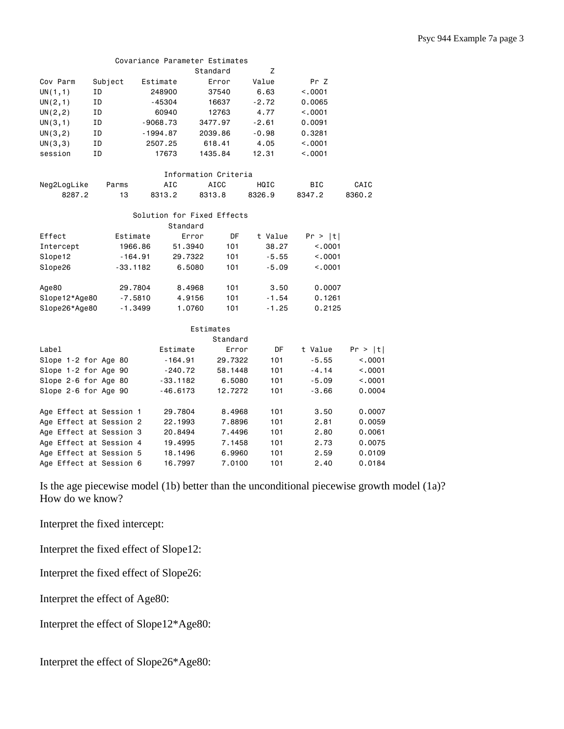|                         |         |            |            |            | Standard                   | Z       |         |            |         |
|-------------------------|---------|------------|------------|------------|----------------------------|---------|---------|------------|---------|
| Cov Parm                | Subject |            | Estimate   |            | Error                      | Value   |         | Pr Z       |         |
| UN(1,1)                 | ΙD      |            | 248900     |            | 37540                      | 6.63    |         | < .0001    |         |
| UN(2,1)                 | ID      |            | $-45304$   |            | 16637                      |         | $-2.72$ | 0.0065     |         |
| UN(2, 2)                | ID      | 60940      |            |            | 12763                      |         | 4.77    | < .0001    |         |
| UN(3,1)                 | ΙD      |            | $-9068.73$ |            | 3477.97                    | $-2.61$ |         | 0.0091     |         |
| UN(3, 2)                | ID      |            | $-1994.87$ |            | 2039.86                    | $-0.98$ |         | 0.3281     |         |
| UN(3,3)                 | ΙD      |            | 2507.25    |            | 618.41                     | 4.05    |         | < .0001    |         |
| session                 | ID      |            | 17673      |            | 1435.84                    | 12.31   |         | < 0.001    |         |
|                         |         |            |            |            | Information Criteria       |         |         |            |         |
| Neg2LogLike             |         | Parms      | AIC        |            | <b>AICC</b>                | HQIC    |         | <b>BIC</b> | CAIC    |
| 8287.2                  |         | 13         | 8313.2     |            | 8313.8                     | 8326.9  |         | 8347.2     | 8360.2  |
|                         |         |            |            |            | Solution for Fixed Effects |         |         |            |         |
|                         |         |            |            | Standard   |                            |         |         |            |         |
| Effect                  |         | Estimate   |            | Error      | DF                         | t Value |         | Pr >  t    |         |
| Intercept               |         | 1966.86    |            | 51.3940    | 101                        |         | 38.27   | < .0001    |         |
| Slope12                 |         | $-164.91$  |            | 29.7322    | 101                        |         | $-5.55$ | < .0001    |         |
| Slope26                 |         | $-33.1182$ |            | 6,5080     | 101                        |         | $-5.09$ | < .0001    |         |
| Age80                   |         | 29.7804    |            | 8,4968     | 101                        |         | 3.50    | 0.0007     |         |
| Slope12*Age80           |         | $-7.5810$  |            | 4.9156     | 101                        |         | $-1.54$ | 0.1261     |         |
| Slope26*Age80           |         | $-1.3499$  |            | 1.0760     | 101                        |         | $-1.25$ | 0.2125     |         |
|                         |         |            |            |            | Estimates                  |         |         |            |         |
|                         |         |            |            |            | Standard                   |         |         |            |         |
| Label                   |         |            |            | Estimate   | Error                      |         | DF      | t Value    | Pr >  t |
| Slope 1-2 for Age 80    |         |            |            | $-164.91$  | 29.7322                    |         | 101     | $-5.55$    | < .0001 |
| Slope 1-2 for Age 90    |         |            |            | $-240.72$  | 58.1448                    |         | 101     | $-4.14$    | < .0001 |
| Slope 2-6 for Age 80    |         |            |            | $-33.1182$ | 6.5080                     |         | 101     | $-5.09$    | < .0001 |
| Slope 2-6 for Age 90    |         |            |            | $-46.6173$ | 12.7272                    |         | 101     | $-3.66$    | 0.0004  |
| Age Effect at Session 1 |         |            |            | 29.7804    | 8.4968                     |         | 101     | 3.50       | 0.0007  |
| Age Effect at Session 2 |         |            |            | 22,1993    | 7.8896                     |         | 101     | 2.81       | 0.0059  |
| Age Effect at Session 3 |         |            |            | 20.8494    | 7.4496                     |         | 101     | 2.80       | 0.0061  |

Covariance Parameter Estimates

Is the age piecewise model (1b) better than the unconditional piecewise growth model (1a)? How do we know?

Age Effect at Session 4 19.4995 7.1458 101 2.73 0.0075 Age Effect at Session 5 18.1496 6.9960 101 2.59 0.0109 Age Effect at Session 6 16.7997 7.0100 101 2.40 0.0184

Interpret the fixed intercept:

Interpret the fixed effect of Slope12:

Interpret the fixed effect of Slope26:

Interpret the effect of Age80:

Interpret the effect of Slope12\*Age80:

Interpret the effect of Slope26\*Age80: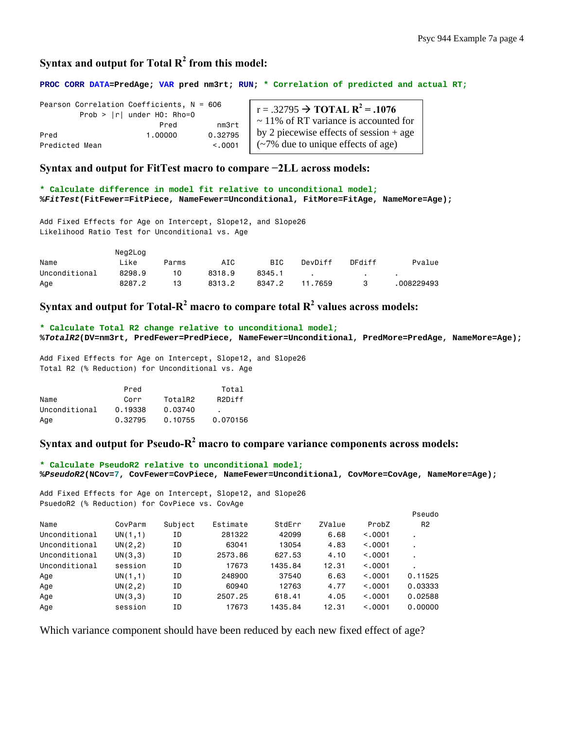# Syntax and output for Total  $R^2$  from this model:

**PROC CORR DATA=PredAge; VAR pred nm3rt; RUN; \* Correlation of predicted and actual RT;** 

|                | Pearson Correlation Coefficients, $N = 606$<br>Prob > $ r $ under HO: Rho=0 |         | $\vert$ r = .32795 $\rightarrow$ TOTAL R <sup>2</sup> = .1076 |
|----------------|-----------------------------------------------------------------------------|---------|---------------------------------------------------------------|
|                | Pred                                                                        | nm3rt   | $\sim$ 11% of RT variance is accounted for                    |
| Pred           | 1,00000                                                                     | 0.32795 | $\vert$ by 2 piecewise effects of session + age               |
| Predicted Mean |                                                                             | < 0.001 | $\int$ (~7% due to unique effects of age)                     |

**Syntax and output for FitTest macro to compare −2LL across models:** 

**\* Calculate difference in model fit relative to unconditional model; %***FitTest***(FitFewer=FitPiece, NameFewer=Unconditional, FitMore=FitAge, NameMore=Age);** 

Add Fixed Effects for Age on Intercept, Slope12, and Slope26 Likelihood Ratio Test for Unconditional vs. Age

|               | Neg2Log |       |        |            |         |        |            |
|---------------|---------|-------|--------|------------|---------|--------|------------|
| Name          | Like    | Parms | AIC    | <b>BIC</b> | DevDiff | DFdiff | Pvalue     |
| Unconditional | 8298.9  | 10.   | 8318.9 | 8345.1     |         |        |            |
| Age           | 8287.2  | 13    | 8313.2 | 8347.2     | 11.7659 |        | 008229493. |

Syntax and output for Total- $R^2$  macro to compare total  $R^2$  values across models:

**\* Calculate Total R2 change relative to unconditional model; %***TotalR2***(DV=nm3rt, PredFewer=PredPiece, NameFewer=Unconditional, PredMore=PredAge, NameMore=Age);** 

Add Fixed Effects for Age on Intercept, Slope12, and Slope26 Total R2 (% Reduction) for Unconditional vs. Age

|               | Pred    |         | Total    |
|---------------|---------|---------|----------|
| Name          | Corr    | TotalR2 | R2Diff   |
| Unconditional | 0.19338 | 0.03740 |          |
| Age           | 0.32795 | 0.10755 | 0.070156 |

Syntax and output for Pseudo-R<sup>2</sup> macro to compare variance components across models:

```
* Calculate PseudoR2 relative to unconditional model;
%PseudoR2(NCov=7, CovFewer=CovPiece, NameFewer=Unconditional, CovMore=CovAge, NameMore=Age);
```
Add Fixed Effects for Age on Intercept, Slope12, and Slope26 PsuedoR2 (% Reduction) for CovPiece vs. CovAge

|               |          |         |          |         |        |         | Pseudo                   |
|---------------|----------|---------|----------|---------|--------|---------|--------------------------|
| Name          | CovParm  | Subject | Estimate | StdErr  | ZValue | ProbZ   | R <sub>2</sub>           |
| Unconditional | UN(1,1)  | ΙD      | 281322   | 42099   | 6.68   | < 0.001 |                          |
| Unconditional | UN(2, 2) | ΙD      | 63041    | 13054   | 4.83   | < 0.001 | ٠.                       |
| Unconditional | UN(3,3)  | ΙD      | 2573.86  | 627.53  | 4.10   | < 0.001 | $\overline{\phantom{a}}$ |
| Unconditional | session  | ΙD      | 17673    | 1435.84 | 12.31  | < 0.001 | ٠.                       |
| Age           | UN(1,1)  | ΙD      | 248900   | 37540   | 6.63   | < 0.001 | 0.11525                  |
| Age           | UN(2, 2) | ΙD      | 60940    | 12763   | 4.77   | < 0.001 | 0.03333                  |
| Age           | UN(3,3)  | ΙD      | 2507.25  | 618.41  | 4.05   | < 0.001 | 0.02588                  |
| Age           | session  | ΙD      | 17673    | 1435.84 | 12.31  | < 0.001 | 0.00000                  |

Which variance component should have been reduced by each new fixed effect of age?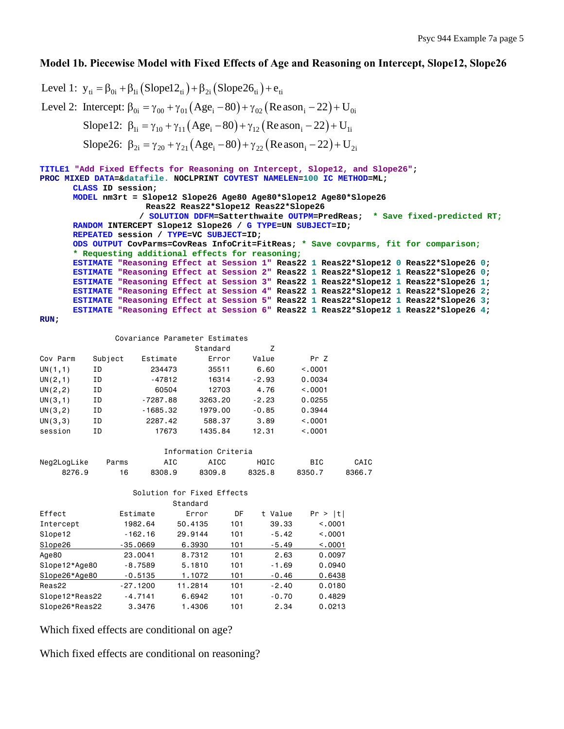# **Model 1b. Piecewise Model with Fixed Effects of Age and Reasoning on Intercept, Slope12, Slope26**

Level 1:  $y_{ti} = \beta_{0i} + \beta_{1i} (Slope22_{ti}) + \beta_{2i} (Slope26_{ti}) + e_{ti}$ Level 2: Intercept:  $\beta_{0i} = \gamma_{00} + \gamma_{01} (Age_i - 80) + \gamma_{02} (Reason_i - 22) + U_{0i}$ Slope12:  $\beta_{1i} = \gamma_{10} + \gamma_{11} (Age_i - 80) + \gamma_{12} (Reason_i - 22) + U_{1i}$ Slope26:  $\beta_{2i} = \gamma_{20} + \gamma_{21} (Age_i - 80) + \gamma_{22} (Reason_i - 22) + U_{2i}$ 

```
TITLE1 "Add Fixed Effects for Reasoning on Intercept, Slope12, and Slope26"; 
PROC MIXED DATA=&datafile. NOCLPRINT COVTEST NAMELEN=100 IC METHOD=ML; 
      CLASS ID session; 
      MODEL nm3rt = Slope12 Slope26 Age80 Age80*Slope12 Age80*Slope26 
                      Reas22 Reas22*Slope12 Reas22*Slope26 
                     / SOLUTION DDFM=Satterthwaite OUTPM=PredReas; * Save fixed-predicted RT;
      RANDOM INTERCEPT Slope12 Slope26 / G TYPE=UN SUBJECT=ID; 
      REPEATED session / TYPE=VC SUBJECT=ID; 
      ODS OUTPUT CovParms=CovReas InfoCrit=FitReas; * Save covparms, fit for comparison; 
       * Requesting additional effects for reasoning;
      ESTIMATE "Reasoning Effect at Session 1" Reas22 1 Reas22*Slope12 0 Reas22*Slope26 0; 
      ESTIMATE "Reasoning Effect at Session 2" Reas22 1 Reas22*Slope12 1 Reas22*Slope26 0; 
      ESTIMATE "Reasoning Effect at Session 3" Reas22 1 Reas22*Slope12 1 Reas22*Slope26 1; 
      ESTIMATE "Reasoning Effect at Session 4" Reas22 1 Reas22*Slope12 1 Reas22*Slope26 2; 
      ESTIMATE "Reasoning Effect at Session 5" Reas22 1 Reas22*Slope12 1 Reas22*Slope26 3; 
      ESTIMATE "Reasoning Effect at Session 6" Reas22 1 Reas22*Slope12 1 Reas22*Slope26 4;
```

```
RUN;
```
### Covariance Parameter Estimates

|          |         |            | Standard | 7       |          |  |
|----------|---------|------------|----------|---------|----------|--|
| Cov Parm | Subject | Estimate   | Error    | Value   | Pr Z     |  |
| UN(1,1)  | ΙD      | 234473     | 35511    | 6.60    | < 0.001  |  |
| UN(2,1)  | ΙD      | -47812     | 16314    | $-2.93$ | 0.0034   |  |
| UN(2, 2) | ΙD      | 60504      | 12703    | 4.76    | < 0.0001 |  |
| UN(3,1)  | ΙD      | $-7287.88$ | 3263.20  | $-2.23$ | 0.0255   |  |
| UN(3, 2) | ΙD      | $-1685.32$ | 1979.00  | $-0.85$ | 0.3944   |  |
| UN(3,3)  | ΙD      | 2287.42    | 588.37   | 3.89    | < 0.0001 |  |
| session  | ΙD      | 17673      | 1435.84  | 12.31   | < 0.001  |  |

| Information Criteria |       |        |        |        |            |        |  |  |  |  |
|----------------------|-------|--------|--------|--------|------------|--------|--|--|--|--|
| Neg2LogLike          | Parms | AIC    | ATCC   | HQIC   | <b>BIC</b> | CAIC   |  |  |  |  |
| 8276.9               | 16    | 8308.9 | 8309.8 | 8325.8 | 8350.7     | 8366.7 |  |  |  |  |

|                |            | Solution for Fixed Effects<br>Standard |     |         |          |
|----------------|------------|----------------------------------------|-----|---------|----------|
| Effect         | Estimate   | Error                                  | DF  | t Value | Pr >  t  |
| Intercept      | 1982.64    | 50.4135                                | 101 | 39.33   | < 0.001  |
| Slope12        | $-162.16$  | 29.9144                                | 101 | $-5.42$ | < 0.001  |
| Slope26        | $-35,0669$ | 6,3930                                 | 101 | $-5.49$ | < 0.0001 |
| Age80          | 23,0041    | 8.7312                                 | 101 | 2.63    | 0.0097   |
| Slope12*Age80  | $-8.7589$  | 5.1810                                 | 101 | $-1.69$ | 0.0940   |
| Slope26*Age80  | $-0.5135$  | 1.1072                                 | 101 | $-0.46$ | 0.6438   |
| Reas22         | $-27.1200$ | 11.2814                                | 101 | $-2.40$ | 0.0180   |
| Slope12*Reas22 | $-4.7141$  | 6.6942                                 | 101 | $-0.70$ | 0.4829   |
| Slope26*Reas22 | 3.3476     | 1.4306                                 | 101 | 2.34    | 0.0213   |

Which fixed effects are conditional on age?

Which fixed effects are conditional on reasoning?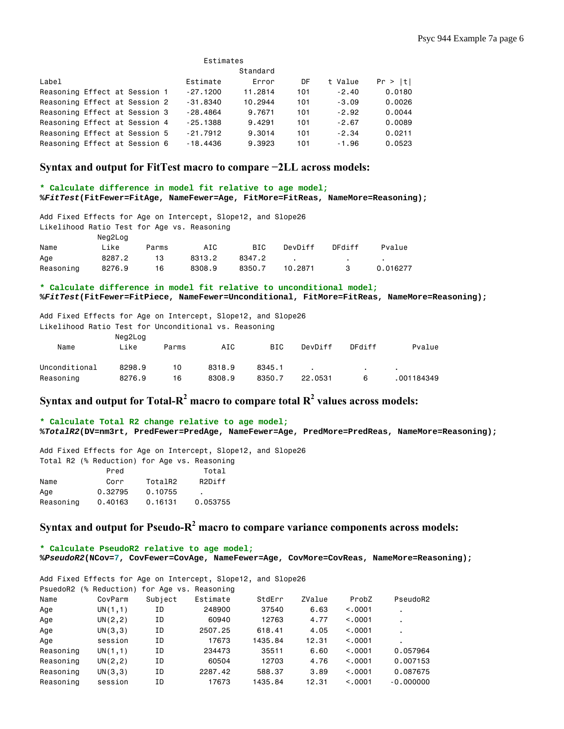|                               | Estimates |  |  |  |            |         |     |         |         |  |  |
|-------------------------------|-----------|--|--|--|------------|---------|-----|---------|---------|--|--|
| Standard                      |           |  |  |  |            |         |     |         |         |  |  |
| Label                         |           |  |  |  | Estimate   | Error   | DF  | t Value | Pr >  t |  |  |
| Reasoning Effect at Session 1 |           |  |  |  | $-27.1200$ | 11,2814 | 101 | $-2.40$ | 0.0180  |  |  |
| Reasoning Effect at Session 2 |           |  |  |  | $-31.8340$ | 10.2944 | 101 | $-3.09$ | 0.0026  |  |  |
| Reasoning Effect at Session 3 |           |  |  |  | $-28.4864$ | 9.7671  | 101 | $-2.92$ | 0.0044  |  |  |
| Reasoning Effect at Session 4 |           |  |  |  | $-25.1388$ | 9.4291  | 101 | $-2.67$ | 0.0089  |  |  |
| Reasoning Effect at Session 5 |           |  |  |  | $-21.7912$ | 9,3014  | 101 | $-2.34$ | 0.0211  |  |  |
| Reasoning Effect at Session 6 |           |  |  |  | $-18,4436$ | 9,3923  | 101 | $-1.96$ | 0.0523  |  |  |

### **Syntax and output for FitTest macro to compare −2LL across models:**

#### **\* Calculate difference in model fit relative to age model; %***FitTest***(FitFewer=FitAge, NameFewer=Age, FitMore=FitReas, NameMore=Reasoning);**

| Add Fixed Effects for Age on Intercept, Slope12, and Slope26 |         |       |        |        |         |        |          |  |
|--------------------------------------------------------------|---------|-------|--------|--------|---------|--------|----------|--|
| Likelihood Ratio Test for Age vs. Reasoning                  |         |       |        |        |         |        |          |  |
|                                                              | Neg2Log |       |        |        |         |        |          |  |
| Name                                                         | Like    | Parms | AIC    | BIC.   | DevDiff | DFdiff | Pvalue   |  |
| Age                                                          | 8287.2  | 13    | 8313.2 | 8347.2 |         |        |          |  |
| Reasoning                                                    | 8276.9  | 16    | 8308.9 | 8350.7 | 10.2871 |        | 0.016277 |  |

### **\* Calculate difference in model fit relative to unconditional model; %***FitTest***(FitFewer=FitPiece, NameFewer=Unconditional, FitMore=FitReas, NameMore=Reasoning);**

Add Fixed Effects for Age on Intercept, Slope12, and Slope26 Likelihood Ratio Test for Unconditional vs. Reasoning

|               | Neg2Log |       |        |            |         |        |            |
|---------------|---------|-------|--------|------------|---------|--------|------------|
| Name          | Like    | Parms | AIC    | <b>BIC</b> | DevDiff | DFdiff | Pvalue     |
|               |         |       |        |            |         |        |            |
| Unconditional | 8298.9  | 10    | 8318.9 | 8345.1     |         |        |            |
| Reasoning     | 8276.9  | 16    | 8308.9 | 8350.7     | 22.0531 | 6      | .001184349 |

# Syntax and output for Total- $R^2$  macro to compare total  $R^2$  values across models:

#### **\* Calculate Total R2 change relative to age model; %***TotalR2***(DV=nm3rt, PredFewer=PredAge, NameFewer=Age, PredMore=PredReas, NameMore=Reasoning);**

Add Fixed Effects for Age on Intercept, Slope12, and Slope26 Total R2 (% Reduction) for Age vs. Reasoning Pred Total Name Corr TotalR2 R2Diff Age 0.32795 0.10755 . Reasoning 0.40163 0.16131 0.053755

# Syntax and output for Pseudo-R<sup>2</sup> macro to compare variance components across models:

**\* Calculate PseudoR2 relative to age model; %***PseudoR2***(NCov=7, CovFewer=CovAge, NameFewer=Age, CovMore=CovReas, NameMore=Reasoning);** 

| Add Fixed Effects for Age on Intercept, Slope12, and Slope26 |                                     |         |          |         |        |         |                |  |
|--------------------------------------------------------------|-------------------------------------|---------|----------|---------|--------|---------|----------------|--|
| PsuedoR2                                                     | (% Reduction) for Age vs. Reasoning |         |          |         |        |         |                |  |
| Name                                                         | CovParm                             | Subject | Estimate | StdErr  | ZValue | ProbZ   | PseudoR2       |  |
| Age                                                          | UN(1,1)                             | ΙD      | 248900   | 37540   | 6.63   | < 0.001 |                |  |
| Age                                                          | UN(2, 2)                            | ΙD      | 60940    | 12763   | 4.77   | < 0.001 | ٠              |  |
| Age                                                          | UN(3,3)                             | ΙD      | 2507.25  | 618.41  | 4.05   | < 0.001 | ٠              |  |
| Age                                                          | session                             | ΙD      | 17673    | 1435.84 | 12.31  | < 0.001 | $\blacksquare$ |  |
| Reasoning                                                    | UN(1,1)                             | ΙD      | 234473   | 35511   | 6.60   | < 0.001 | 0.057964       |  |
| Reasoning                                                    | UN(2, 2)                            | ΙD      | 60504    | 12703   | 4.76   | < 0.001 | 0.007153       |  |
| Reasoning                                                    | UN(3,3)                             | ΙD      | 2287.42  | 588.37  | 3.89   | < 0.001 | 0.087675       |  |
| Reasoning                                                    | session                             | ΙD      | 17673    | 1435.84 | 12.31  | < 0.001 | $-0.000000$    |  |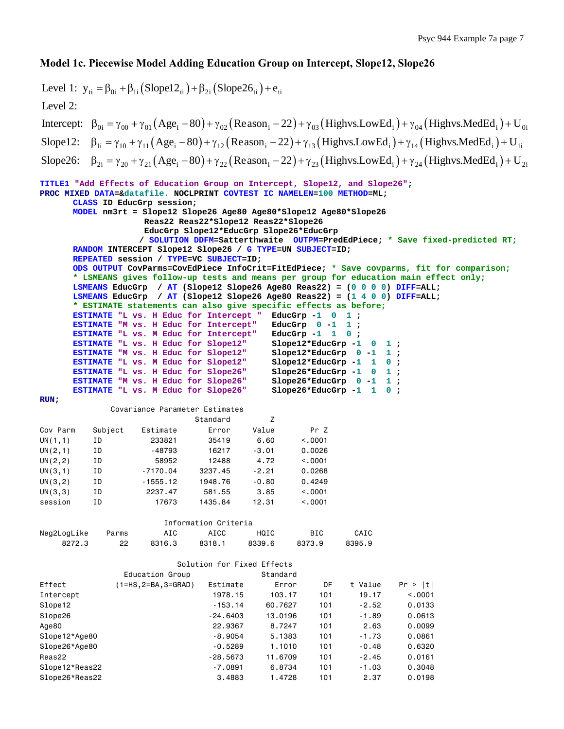# **Model 1c. Piecewise Model Adding Education Group on Intercept, Slope12, Slope26**

```
Level 1: y_{ti} = \beta_{0i} + \beta_{1i} (Slope12_{ti}) + \beta_{2i} (Slope26_{ti}) + e_{ti}Intercept: \beta_{0i} = \gamma_{00} + \gamma_{01} (Age_i - 80) + \gamma_{02} (Reason_i - 22) + \gamma_{03} (Highvs. LowEd_i) + \gamma_{04} (Highvs. MedEd_i) + U_{0i}Slope12: \beta_{1i} = \gamma_{10} + \gamma_{11} (Age_i - 80) + \gamma_{12} (Reason_i - 22) + \gamma_{13} (Highvs. LowEd_i) + \gamma_{14} (Highvs. MedEd_i) + U_{1i}Level 2: 
Slope26: \beta_{2i} = \gamma_{20} + \gamma_{21} (Age_i - 80) + \gamma_{22} (Reason_i - 22) + \gamma_{23} (Highvs. LowEd_i) + \gamma_{24} (Highvs. MedEd_i) + U_{2i}TITLE1 "Add Effects of Education Group on Intercept, Slope12, and Slope26"; 
PROC MIXED DATA=&datafile. NOCLPRINT COVTEST IC NAMELEN=100 METHOD=ML; 
      CLASS ID EducGrp session; 
      MODEL nm3rt = Slope12 Slope26 Age80 Age80*Slope12 Age80*Slope26 
                     Reas22 Reas22*Slope12 Reas22*Slope26 
                     EducGrp Slope12*EducGrp Slope26*EducGrp 
                    / SOLUTION DDFM=Satterthwaite OUTPM=PredEdPiece; * Save fixed-predicted RT;
      RANDOM INTERCEPT Slope12 Slope26 / G TYPE=UN SUBJECT=ID; 
      REPEATED session / TYPE=VC SUBJECT=ID; 
      ODS OUTPUT CovParms=CovEdPiece InfoCrit=FitEdPiece; * Save covparms, fit for comparison;
      * LSMEANS gives follow-up tests and means per group for education main effect only;
      LSMEANS EducGrp / AT (Slope12 Slope26 Age80 Reas22) = (0 0 0 0) DIFF=ALL; 
      LSMEANS EducGrp / AT (Slope12 Slope26 Age80 Reas22) = (1 4 0 0) DIFF=ALL; 
      * ESTIMATE statements can also give specific effects as before;
      ESTIMATE "L vs. H Educ for Intercept " EducGrp -1 0 1;<br>
<b>ESTIMATE "M vs. H Educ for Intercept" EducGrp 0 -1 1;
      ESTIMATE "M vs. H Educ for Intercept" EducGrp 0 -1 1;<br>ESTIMATE "L vs. M Educ for Intercept" EducGrp -1 1 0;
      ESTIMATE "L vs. M Educ for Intercept" EducGrp -1 1 0;<br>
ESTIMATE "L vs. H Educ for Slope12" Slope12*EducGrp -1 0 1;
      ESTIMATE "L vs. H Educ for Slope12"
      ESTIMATE "M vs. H Educ for Slope12" Slope12*EducGrp 0 -1 1 ;<br>
ESTIMATE "L vs. M Educ for Slope12" Slope12*EducGrp -1 1 0 ;
      ESTIMATE "L vs. M Educ for Slope12"
      ESTIMATE "L vs. H Educ for Slope26" Slope26*EducGrp -1 0 1 ; 
      ESTIMATE "M vs. H Educ for Slope26" Slope26*EducGrp 0 -1 1 ; 
      ESTIMATE "L vs. M Educ for Slope26" Slope26*EducGrp -1 1 0 ; 
RUN; 
               Covariance Parameter Estimates 
                               Standard Z 
Cov Parm Subject Estimate Error Value Pr Z 
UN(1,1) ID 233821 35419 6.60 <.0001 
UN(2,1) ID -48793 16217 -3.01 0.0026 
UN(2,2) ID 58952 12488 4.72 <.0001 
UN(3,1) ID -7170.04 3237.45 -2.21 0.0268 
UN(3,2) ID -1555.12 1948.76 -0.80 0.4249 
UN(3,3) ID 2237.47 581.55 3.85 <.0001 
session ID 17673 1435.84 12.31 <.0001 
                         Information Criteria 
Neg2LogLike Parms AIC AICC HQIC BIC CAIC 
 8272.3 22 8316.3 8318.1 8339.6 8373.9 8395.9 
                            Solution for Fixed Effects 
                Education Group Contract Standard
Effect (1=HS,2=BA,3=GRAD) Estimate Error DF t Value Pr > |t| 
Intercept 1978.15 103.17 101 19.17 <.0001 
Slope12 -153.14 60.7627 101 -2.52 0.0133
Slope26 -24.6403 13.0196 101 -1.89 0.0613
Age80 22.9367 8.7247 101 2.63 0.0099 
Slope12*Age80 -8.9054 5.1383 101 -1.73 0.0861 
Slope26*Age80 - -0.5289 1.1010 101 -0.48 0.6320
Reas22 -28.5673 11.6709 101 -2.45 0.0161 
Slope12*Reas22 -7.0891 6.8734 101 -1.03 0.3048 
Slope26*Reas22 3.4883 1.4728 101 2.37 0.0198
```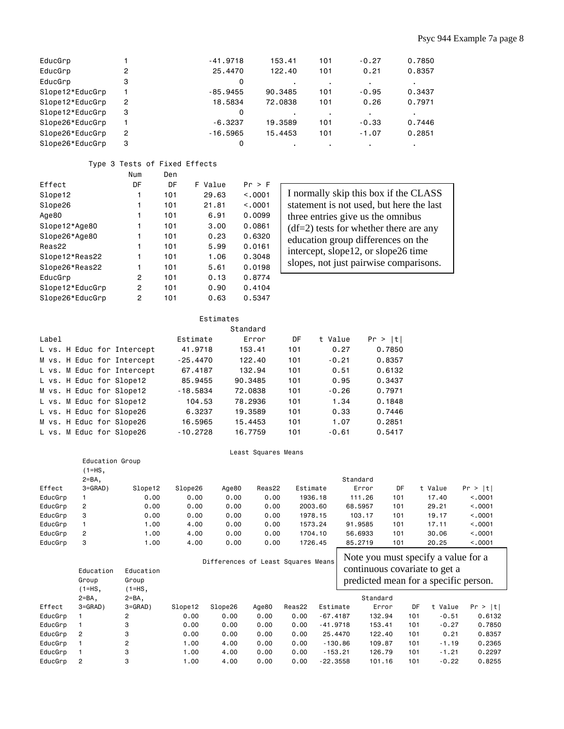# Psyc 944 Example 7a page 8

| EducGrp         |   | $-41.9718$ | 153.41  | 101 | $-0.27$ | 0.7850 |
|-----------------|---|------------|---------|-----|---------|--------|
| EducGrp         | 2 | 25,4470    | 122.40  | 101 | 0.21    | 0.8357 |
| EducGrp         | 3 | 0          |         | ٠   |         |        |
| Slope12*EducGrp |   | $-85.9455$ | 90.3485 | 101 | $-0.95$ | 0.3437 |
| Slope12*EducGrp | 2 | 18,5834    | 72.0838 | 101 | 0.26    | 0.7971 |
| Slope12*EducGrp | 3 | 0          |         | ٠   |         |        |
| Slope26*EducGrp |   | $-6.3237$  | 19.3589 | 101 | $-0.33$ | 0.7446 |
| Slope26*EducGrp | 2 | $-16.5965$ | 15.4453 | 101 | $-1.07$ | 0.2851 |
| Slope26*EducGrp | 3 |            |         |     |         |        |

### Type 3 Tests of Fixed Effects

|                 | Num | Den |            |         |
|-----------------|-----|-----|------------|---------|
| Effect          | DF  | DF  | Value<br>F | Pr > F  |
| Slope12         | 1   | 101 | 29.63      | < 0.001 |
| Slope26         | 1   | 101 | 21.81      | < 0.001 |
| Age80           | 1   | 101 | 6.91       | 0.0099  |
| Slope12*Age80   | 1   | 101 | 3.00       | 0.0861  |
| Slope26*Age80   | 1   | 101 | 0.23       | 0,6320  |
| Reas22          | 1   | 101 | 5.99       | 0.0161  |
| Slope12*Reas22  | 1   | 101 | 1.06       | 0.3048  |
| Slope26*Reas22  | 1   | 101 | 5.61       | 0.0198  |
| EducGrp         | 2   | 101 | 0.13       | 0.8774  |
| Slope12*EducGrp | 2   | 101 | 0.90       | 0.4104  |
| Slope26*EducGrp | 2   | 101 | 0.63       | 0.5347  |

I normally skip this box if the CLASS statement is not used, but here the last three entries give us the omnibus (df=2) tests for whether there are any education group differences on the intercept, slope12, or slope26 time slopes, not just pairwise comparisons.

|       | Estimates |                            |            |         |     |         |         |  |  |
|-------|-----------|----------------------------|------------|---------|-----|---------|---------|--|--|
|       | Standard  |                            |            |         |     |         |         |  |  |
| Label |           |                            | Estimate   | Error   | DF  | t Value | Pr >  t |  |  |
|       |           | L vs. H Educ for Intercept | 41,9718    | 153.41  | 101 | 0.27    | 0.7850  |  |  |
|       |           | M vs. H Educ for Intercept | $-25.4470$ | 122.40  | 101 | $-0.21$ | 0.8357  |  |  |
|       |           | L vs. M Educ for Intercept | 67,4187    | 132.94  | 101 | 0.51    | 0.6132  |  |  |
|       |           | L vs. H Educ for Slope12   | 85,9455    | 90.3485 | 101 | 0.95    | 0.3437  |  |  |
|       |           | M vs. H Educ for Slope12   | $-18.5834$ | 72.0838 | 101 | $-0.26$ | 0.7971  |  |  |
|       |           | L vs. M Educ for Slope12   | 104.53     | 78.2936 | 101 | 1.34    | 0.1848  |  |  |
|       |           | L vs. H Educ for Slope26   | 6,3237     | 19,3589 | 101 | 0.33    | 0.7446  |  |  |
|       |           | M vs. H Educ for Slope26   | 16,5965    | 15.4453 | 101 | 1.07    | 0.2851  |  |  |
|       |           | L vs. M Educ for Slope26   | $-10.2728$ | 16.7759 | 101 | $-0.61$ | 0.5417  |  |  |

#### Least Squares Means

|         | Education Group<br>1=HS, |                  |         |       |        |          |          |     |         |         |
|---------|--------------------------|------------------|---------|-------|--------|----------|----------|-----|---------|---------|
|         | $2 = BA$ .               |                  |         |       |        |          | Standard |     |         |         |
| Effect  | $3 = GRAD$ )             | Slope12          | Slope26 | Age80 | Reas22 | Estimate | Error    | DF  | t Value | Pr >  t |
| EducGrp |                          | 0.00             | 0.00    | 0.00  | 0.00   | 1936.18  | 111.26   | 101 | 17.40   | < 0.001 |
| EducGrp | 2                        | 0.00             | 0.00    | 0.00  | 0.00   | 2003.60  | 68.5957  | 101 | 29.21   | < 0.001 |
| EducGrp | 3                        | 0.00             | 0.00    | 0.00  | 0.00   | 1978.15  | 103.17   | 101 | 19.17   | < 0.001 |
| EducGrp |                          | 1.00             | 4.00    | 0.00  | 0.00   | 1573.24  | 91.9585  | 101 | 17.11   | < 0.001 |
| EducGrp | $\overline{2}$           | 1.00             | 4.00    | 0.00  | 0.00   | 1704.10  | 56,6933  | 101 | 30.06   | < 0.001 |
| EducGrp | 3                        | $\overline{0}$ . | 4.00    | 0.00  | 0.00   | 1726.45  | 85,2719  | 101 | 20.25   | < 0.001 |

|         | Education<br>Group<br>(1=HS, | Education<br>Group<br>$1 = HS$ , |         | Differences of Least Squares Means |       |        |            | Note you must specify a value for a<br>continuous covariate to get a<br>predicted mean for a specific person. |     |         |         |
|---------|------------------------------|----------------------------------|---------|------------------------------------|-------|--------|------------|---------------------------------------------------------------------------------------------------------------|-----|---------|---------|
|         | $2 = BA$ .                   | $2 = BA$ ,                       |         |                                    |       |        |            | Standard                                                                                                      |     |         |         |
| Effect  | $3 = GRAD$ )                 | $3 = GRAD$ )                     | Slope12 | Slope26                            | Age80 | Reas22 | Estimate   | Error                                                                                                         | DF  | t Value | Pr >  t |
| EducGrp |                              | 2                                | 0.00    | 0.00                               | 0.00  | 0.00   | $-67.4187$ | 132.94                                                                                                        | 101 | $-0.51$ | 0.6132  |
| EducGrp |                              | 3                                | 0.00    | 0.00                               | 0.00  | 0.00   | $-41.9718$ | 153.41                                                                                                        | 101 | $-0.27$ | 0.7850  |
| EducGrp | - 2                          | 3                                | 0.00    | 0.00                               | 0.00  | 0.00   | 25,4470    | 122.40                                                                                                        | 101 | 0.21    | 0.8357  |
| EducGrp |                              | 2                                | 1.00    | 4.00                               | 0.00  | 0.00   | $-130.86$  | 109.87                                                                                                        | 101 | $-1.19$ | 0.2365  |
| EducGrp |                              | 3                                | 1.00    | 4.00                               | 0.00  | 0.00   | $-153.21$  | 126.79                                                                                                        | 101 | $-1.21$ | 0.2297  |
| EducGrp | $\overline{2}$               | 3                                | .00     | 4.00                               | 0.00  | 0.00   | $-22.3558$ | 101.16                                                                                                        | 101 | $-0.22$ | 0.8255  |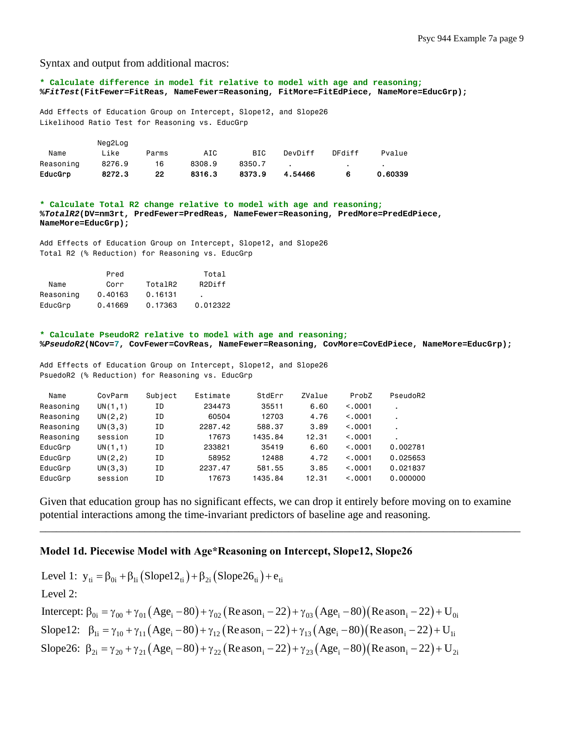Syntax and output from additional macros:

**\* Calculate difference in model fit relative to model with age and reasoning; %***FitTest***(FitFewer=FitReas, NameFewer=Reasoning, FitMore=FitEdPiece, NameMore=EducGrp);** Add Effects of Education Group on Intercept, Slope12, and Slope26 Likelihood Ratio Test for Reasoning vs. EducGrp Neg2Log Name Like Parms AIC BIC DevDiff DFdiff Pvalue Reasoning 8276.9 16 8308.9 8350.7 . . . . .

EducGrp 8272.3 22 8316.3 8373.9 4.54466 6 0.60339

**\* Calculate Total R2 change relative to model with age and reasoning; %***TotalR2***(DV=nm3rt, PredFewer=PredReas, NameFewer=Reasoning, PredMore=PredEdPiece, NameMore=EducGrp);** 

Add Effects of Education Group on Intercept, Slope12, and Slope26 Total R2 (% Reduction) for Reasoning vs. EducGrp

|           | Pred    |         | Total               |
|-----------|---------|---------|---------------------|
| Name      | Corr    | TotalR2 | R <sub>2</sub> Diff |
| Reasoning | 0.40163 | 0.16131 | ٠                   |
| EducGrp   | 0.41669 | 0.17363 | 0.012322            |

**\* Calculate PseudoR2 relative to model with age and reasoning; %***PseudoR2***(NCov=7, CovFewer=CovReas, NameFewer=Reasoning, CovMore=CovEdPiece, NameMore=EducGrp);**

Add Effects of Education Group on Intercept, Slope12, and Slope26 PsuedoR2 (% Reduction) for Reasoning vs. EducGrp

| Name      | CovParm  | Subject | Estimate | StdErr  | ZValue | ProbZ   | PseudoR2       |
|-----------|----------|---------|----------|---------|--------|---------|----------------|
| Reasoning | UN(1,1)  | ΙD      | 234473   | 35511   | 6.60   | < 0.001 | $\blacksquare$ |
| Reasoning | UN(2, 2) | ΙD      | 60504    | 12703   | 4.76   | < 0.001 | $\blacksquare$ |
| Reasoning | UN(3,3)  | ΙD      | 2287.42  | 588.37  | 3.89   | < 0.001 |                |
| Reasoning | session  | ΙD      | 17673    | 1435.84 | 12.31  | < 0.001 |                |
| EducGrp   | UN(1,1)  | ΙD      | 233821   | 35419   | 6.60   | < 0.001 | 0.002781       |
| EducGrp   | UN(2, 2) | ΙD      | 58952    | 12488   | 4.72   | < 0.001 | 0.025653       |
| EducGrp   | UN(3,3)  | ΙD      | 2237.47  | 581.55  | 3.85   | < 0.001 | 0.021837       |
| EducGrp   | session  | ΙD      | 17673    | 1435.84 | 12.31  | < 0.001 | 0.000000       |

Given that education group has no significant effects, we can drop it entirely before moving on to examine potential interactions among the time-invariant predictors of baseline age and reasoning.

\_\_\_\_\_\_\_\_\_\_\_\_\_\_\_\_\_\_\_\_\_\_\_\_\_\_\_\_\_\_\_\_\_\_\_\_\_\_\_\_\_\_\_\_\_\_\_\_\_\_\_\_\_\_\_\_\_\_\_\_\_\_\_\_\_\_\_\_\_\_\_\_\_\_\_\_\_\_\_\_\_\_\_\_\_\_\_

## **Model 1d. Piecewise Model with Age\*Reasoning on Intercept, Slope12, Slope26**

Level 1:  $y_{ti} = \beta_{0i} + \beta_{1i} (Slope12_{ti}) + \beta_{2i} (Slope26_{ti}) + e_{ti}$ Intercept:  $\beta_{0i} = \gamma_{00} + \gamma_{01} (Age_i - 80) + \gamma_{02} (Reason_i - 22) + \gamma_{03} (Age_i - 80) (Reason_i - 22) + U_{0i}$ Slope12:  $\beta_{1i} = \gamma_{10} + \gamma_{11} (Age_i - 80) + \gamma_{12} (Reason_i - 22) + \gamma_{13} (Age_i - 80) (Reason_i - 22) + U_{1i}$ Level 2: Slope26:  $\beta_{2i} = \gamma_{20} + \gamma_{21} (Age_i - 80) + \gamma_{22} (Reason_i - 22) + \gamma_{23} (Age_i - 80) (Reason_i - 22) + U_{2i}$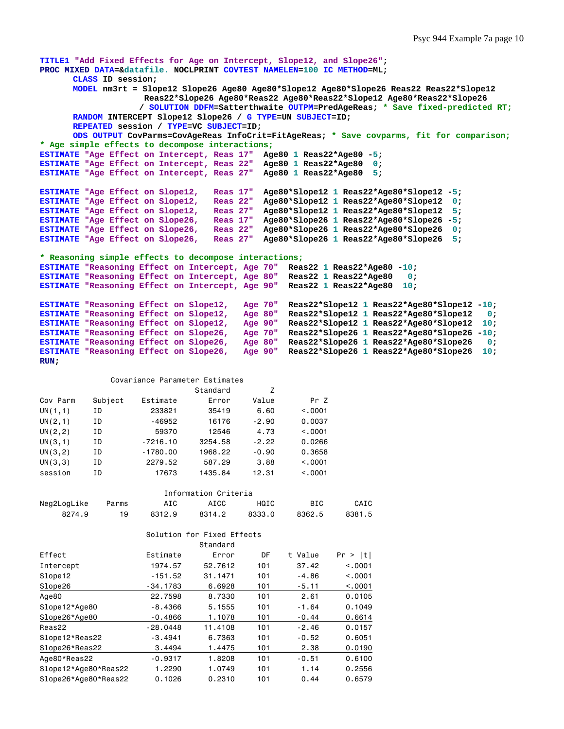**TITLE1 "Add Fixed Effects for Age on Intercept, Slope12, and Slope26"; PROC MIXED DATA=&datafile. NOCLPRINT COVTEST NAMELEN=100 IC METHOD=ML; CLASS ID session; MODEL nm3rt = Slope12 Slope26 Age80 Age80\*Slope12 Age80\*Slope26 Reas22 Reas22\*Slope12 Reas22\*Slope26 Age80\*Reas22 Age80\*Reas22\*Slope12 Age80\*Reas22\*Slope26 / SOLUTION DDFM=Satterthwaite OUTPM=PredAgeReas; \* Save fixed-predicted RT; RANDOM INTERCEPT Slope12 Slope26 / G TYPE=UN SUBJECT=ID; REPEATED session / TYPE=VC SUBJECT=ID; ODS OUTPUT CovParms=CovAgeReas InfoCrit=FitAgeReas; \* Save covparms, fit for comparison; \* Age simple effects to decompose interactions; ESTIMATE "Age Effect on Intercept, Reas 17" Age80 1 Reas22\*Age80 -5; ESTIMATE "Age Effect on Intercept, Reas 22" Age80 1 Reas22\*Age80 0; ESTIMATE "Age Effect on Intercept, Reas 27" Age80 1 Reas22\*Age80 5; ESTIMATE "Age Effect on Slope12, Reas 17" Age80\*Slope12 1 Reas22\*Age80\*Slope12 -5; ESTIMATE "Age Effect on Slope12, Reas 22" Age80\*Slope12 1 Reas22\*Age80\*Slope12 0; ESTIMATE "Age Effect on Slope12, Reas 27" Age80\*Slope12 1 Reas22\*Age80\*Slope12 5; ESTIMATE "Age Effect on Slope26, Reas 17" Age80\*Slope26 1 Reas22\*Age80\*Slope26 -5; ESTIMATE "Age Effect on Slope26, Reas 22" Age80\*Slope26 1 Reas22\*Age80\*Slope26 0; ESTIMATE "Age Effect on Slope26, Reas 27" Age80\*Slope26 1 Reas22\*Age80\*Slope26 5; \* Reasoning simple effects to decompose interactions; ESTIMATE "Reasoning Effect on Intercept, Age 70" Reas22 1 Reas22\*Age80 -10; ESTIMATE "Reasoning Effect on Intercept, Age 80" Reas22 1 Reas22\*Age80 0; ESTIMATE "Reasoning Effect on Intercept, Age 90" Reas22 1 Reas22\*Age80 10; ESTIMATE "Reasoning Effect on Slope12, Age 70" Reas22\*Slope12 1 Reas22\*Age80\*Slope12 -10; ESTIMATE "Reasoning Effect on Slope12, Age 80" Reas22\*Slope12 1 Reas22\*Age80\*Slope12 0; ESTIMATE "Reasoning Effect on Slope12, Age 90" Reas22\*Slope12 1 Reas22\*Age80\*Slope12 10; ESTIMATE "Reasoning Effect on Slope26, Age 70" Reas22\*Slope26 1 Reas22\*Age80\*Slope26 -10; ESTIMATE "Reasoning Effect on Slope26, Age 80" Reas22\*Slope26 1 Reas22\*Age80\*Slope26 0; ESTIMATE "Reasoning Effect on Slope26, Age 90" Reas22\*Slope26 1 Reas22\*Age80\*Slope26 10; RUN;**  Covariance Parameter Estimates Standard Z Cov Parm Subject Estimate Error Value Pr Z UN(1,1) ID 233821 35419 6.60 <.0001 UN(2,1) ID -46952 16176 -2.90 0.0037 UN(2,2) ID 59370 12546 4.73 <.0001 UN(3,1) ID -7216.10 3254.58 -2.22 0.0266 UN(3,2) ID -1780.00 1968.22 -0.90 0.3658 UN(3,3) ID 2279.52 587.29 3.88 <.0001 session ID 17673 1435.84 12.31 <.0001 Information Criteria Neg2LogLike Parms AIC AICC HQIC BIC CAIC 8274.9 19 8312.9 8314.2 8333.0 8362.5 8381.5 Solution for Fixed Effects Standard Effect Estimate Error DF t Value Pr > |t| Intercept 1974.57 52.7612 101 37.42 <.0001 Slope12 -151.52 31.1471 101 -4.86 <.0001 <u>Slope26 -34.1783 6.6928 101 -5.11 <.0001</u> Age80 22.7598 8.7330 101 2.61 0.0105 Slope12\*Age80 -8.4366 5.1555 101 -1.64 0.1049 Slope26\*Age80 -0.4866 1.1078 101 -0.44 0.6614 Reas22 -28.0448 11.4108 101 -2.46 0.0157 Slope12\*Reas22 -3.4941 6.7363 101 -0.52 0.6051 Slope26\*Reas22 3.4494 1.4475 101 2.38 0.0190 Age80\*Reas22 -0.9317 1.8208 101 -0.51 0.6100 Slope12\*Age80\*Reas22 1.2290 1.0749 101 1.14 0.2556 Slope26\*Age80\*Reas22 0.1026 0.2310 101 0.44 0.6579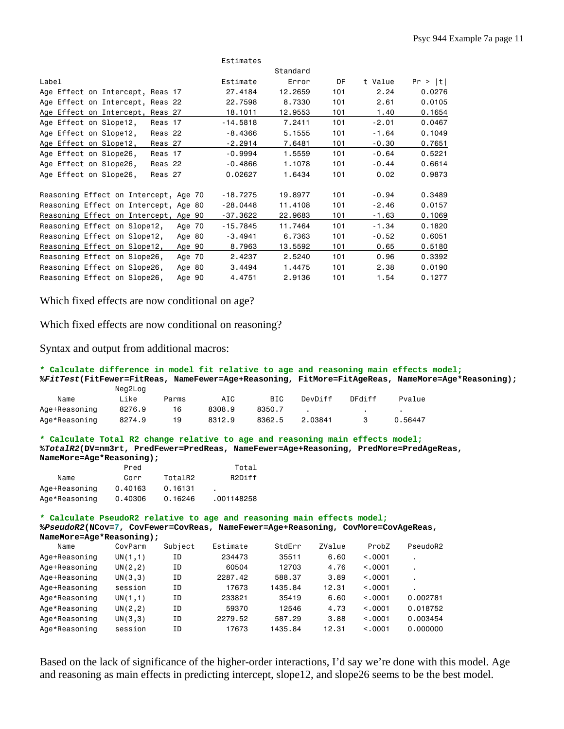|                                          | Estimates  |          |     |         |         |
|------------------------------------------|------------|----------|-----|---------|---------|
|                                          |            | Standard |     |         |         |
| Label                                    | Estimate   | Error    | DF  | t Value | Pr >  t |
| Age Effect on Intercept, Reas 17         | 27,4184    | 12,2659  | 101 | 2.24    | 0.0276  |
| Age Effect on Intercept, Reas 22         | 22.7598    | 8,7330   | 101 | 2.61    | 0.0105  |
| Age Effect on Intercept,<br>Reas 27      | 18.1011    | 12.9553  | 101 | 1.40    | 0.1654  |
| Age Effect on Slope12,<br>Reas 17        | $-14.5818$ | 7.2411   | 101 | $-2.01$ | 0.0467  |
| Age Effect on Slope12,<br>Reas 22        | $-8.4366$  | 5.1555   | 101 | $-1.64$ | 0.1049  |
| Age Effect on Slope12,<br>Reas 27        | $-2.2914$  | 7.6481   | 101 | $-0.30$ | 0.7651  |
| Age Effect on Slope26,<br>Reas 17        | $-0.9994$  | 1.5559   | 101 | $-0.64$ | 0.5221  |
| Age Effect on Slope26,<br>Reas 22        | $-0.4866$  | 1.1078   | 101 | $-0.44$ | 0.6614  |
| Age Effect on Slope26,<br>Reas 27        | 0.02627    | 1.6434   | 101 | 0.02    | 0.9873  |
|                                          |            |          |     |         |         |
| Reasoning Effect on Intercept, Age 70    | $-18.7275$ | 19,8977  | 101 | $-0.94$ | 0.3489  |
| Reasoning Effect on Intercept, Age 80    | $-28.0448$ | 11,4108  | 101 | $-2.46$ | 0.0157  |
| Reasoning Effect on Intercept,<br>Age 90 | $-37.3622$ | 22.9683  | 101 | $-1.63$ | 0.1069  |
| Reasoning Effect on Slope12,<br>Age 70   | $-15.7845$ | 11,7464  | 101 | $-1.34$ | 0.1820  |
| Reasoning Effect on Slope12,<br>Age 80   | $-3.4941$  | 6.7363   | 101 | $-0.52$ | 0.6051  |
| Reasoning Effect on Slope12,<br>Age 90   | 8.7963     | 13.5592  | 101 | 0.65    | 0.5180  |
| Reasoning Effect on Slope26,<br>Age 70   | 2.4237     | 2.5240   | 101 | 0.96    | 0.3392  |
| Reasoning Effect on Slope26,<br>Age 80   | 3.4494     | 1.4475   | 101 | 2.38    | 0.0190  |
| Reasoning Effect on Slope26,<br>Age 90   | 4.4751     | 2.9136   | 101 | 1.54    | 0.1277  |

Which fixed effects are now conditional on age?

Which fixed effects are now conditional on reasoning?

Syntax and output from additional macros:

```
* Calculate difference in model fit relative to age and reasoning main effects model;
%FitTest(FitFewer=FitReas, NameFewer=Age+Reasoning, FitMore=FitAgeReas, NameMore=Age*Reasoning); 
           Neg2Log 
  Name Like Parms AIC BIC DevDiff DFdiff Pvalue
Age+Reasoning 8276.9 16 8308.9 8350.7 . . . . .
Age*Reasoning 8274.9 19 8312.9 8362.5 2.03841 3 0.56447
```
**\* Calculate Total R2 change relative to age and reasoning main effects model; %***TotalR2***(DV=nm3rt, PredFewer=PredReas, NameFewer=Age+Reasoning, PredMore=PredAgeReas, NameMore=Age\*Reasoning);** 

|               | Pred    |         | Total      |
|---------------|---------|---------|------------|
| Name          | Corr    | TotalR2 | R2Diff     |
| Age+Reasoning | 0.40163 | 0.16131 |            |
| Age*Reasoning | 0.40306 | 0.16246 | .001148258 |

#### **\* Calculate PseudoR2 relative to age and reasoning main effects model;**

**%***PseudoR2***(NCov=7, CovFewer=CovReas, NameFewer=Age+Reasoning, CovMore=CovAgeReas,** 

**NameMore=Age\*Reasoning);** 

| Name          | CovParm  | Subject | Estimate | StdErr  | ZValue | ProbZ   | PseudoR2                 |
|---------------|----------|---------|----------|---------|--------|---------|--------------------------|
| Age+Reasoning | UN(1,1)  | ΙD      | 234473   | 35511   | 6.60   | < 0.001 | $\overline{\phantom{a}}$ |
| Age+Reasoning | UN(2, 2) | ΙD      | 60504    | 12703   | 4.76   | < 0.001 |                          |
| Age+Reasoning | UN(3,3)  | ΙD      | 2287.42  | 588.37  | 3.89   | < 0.001 |                          |
| Age+Reasoning | session  | ΙD      | 17673    | 1435.84 | 12.31  | < 0.001 |                          |
| Age*Reasoning | UN(1,1)  | ΙD      | 233821   | 35419   | 6.60   | < 0.001 | 0.002781                 |
| Age*Reasoning | UN(2, 2) | ΙD      | 59370    | 12546   | 4.73   | < 0.001 | 0.018752                 |
| Age*Reasoning | UN(3,3)  | ΙD      | 2279.52  | 587.29  | 3.88   | < 0.001 | 0.003454                 |
| Age*Reasoning | session  | ΙD      | 17673    | 1435.84 | 12.31  | < 0.001 | 0.000000                 |

Based on the lack of significance of the higher-order interactions, I'd say we're done with this model. Age and reasoning as main effects in predicting intercept, slope12, and slope26 seems to be the best model.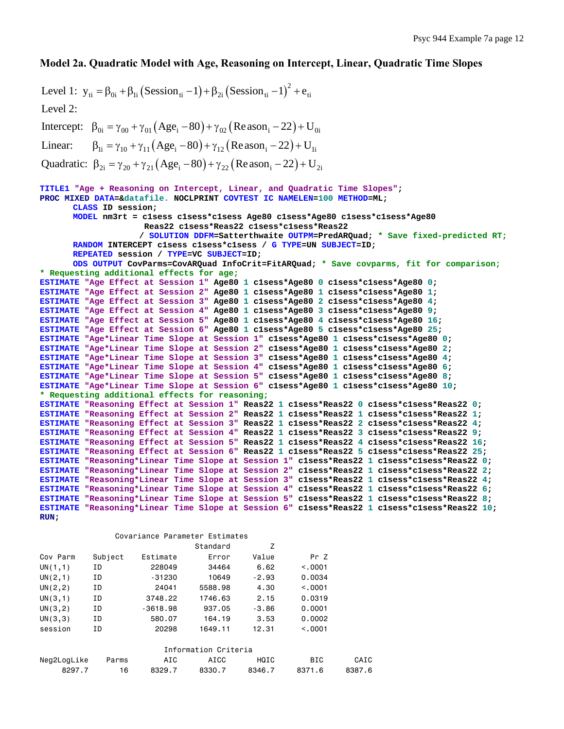## **Model 2a. Quadratic Model with Age, Reasoning on Intercept, Linear, Quadratic Time Slopes**

 $(Session_{ti}-1)+\beta_{2i}(Session_{ti}-1)^2$ Intercept:  $\beta_{0i} = \gamma_{00} + \gamma_{01} (Age_i - 80) + \gamma_{02} (Reason_i - 22) + U_{0i}$ Linear:  $\beta_{1i} = \gamma_{10} + \gamma_{11} (Age_i - 80) + \gamma_{12} (Reason_i - 22) + U_{1i}$ Quadratic:  $\beta_{2i} = \gamma_{20} + \gamma_{21} (Age_i - 80) + \gamma_{22} (Reason_i - 22) + U_{2i}$ Level 1:  $y_{ti} = \beta_{0i} + \beta_{1i} (Session_{ti} - 1) + \beta_{2i} (Session_{ti} - 1)^{2} + e_{ti}$ Level 2: **TITLE1 "Age + Reasoning on Intercept, Linear, and Quadratic Time Slopes"; PROC MIXED DATA=&datafile. NOCLPRINT COVTEST IC NAMELEN=100 METHOD=ML; CLASS ID session; MODEL nm3rt = c1sess c1sess\*c1sess Age80 c1sess\*Age80 c1sess\*c1sess\*Age80 Reas22 c1sess\*Reas22 c1sess\*c1sess\*Reas22 / SOLUTION DDFM=Satterthwaite OUTPM=PredARQuad; \* Save fixed-predicted RT; RANDOM INTERCEPT c1sess c1sess\*c1sess / G TYPE=UN SUBJECT=ID; REPEATED session / TYPE=VC SUBJECT=ID; ODS OUTPUT CovParms=CovARQuad InfoCrit=FitARQuad; \* Save covparms, fit for comparison; \* Requesting additional effects for age; ESTIMATE "Age Effect at Session 1" Age80 1 c1sess\*Age80 0 c1sess\*c1sess\*Age80 0; ESTIMATE "Age Effect at Session 2" Age80 1 c1sess\*Age80 1 c1sess\*c1sess\*Age80 1; ESTIMATE "Age Effect at Session 3" Age80 1 c1sess\*Age80 2 c1sess\*c1sess\*Age80 4; ESTIMATE "Age Effect at Session 4" Age80 1 c1sess\*Age80 3 c1sess\*c1sess\*Age80 9; ESTIMATE "Age Effect at Session 5" Age80 1 c1sess\*Age80 4 c1sess\*c1sess\*Age80 16; ESTIMATE "Age Effect at Session 6" Age80 1 c1sess\*Age80 5 c1sess\*c1sess\*Age80 25; ESTIMATE "Age\*Linear Time Slope at Session 1" c1sess\*Age80 1 c1sess\*c1sess\*Age80 0; ESTIMATE "Age\*Linear Time Slope at Session 2" c1sess\*Age80 1 c1sess\*c1sess\*Age80 2; ESTIMATE "Age\*Linear Time Slope at Session 3" c1sess\*Age80 1 c1sess\*c1sess\*Age80 4; ESTIMATE "Age\*Linear Time Slope at Session 4" c1sess\*Age80 1 c1sess\*c1sess\*Age80 6; ESTIMATE "Age\*Linear Time Slope at Session 5" c1sess\*Age80 1 c1sess\*c1sess\*Age80 8; ESTIMATE "Age\*Linear Time Slope at Session 6" c1sess\*Age80 1 c1sess\*c1sess\*Age80 10; \* Requesting additional effects for reasoning; ESTIMATE "Reasoning Effect at Session 1" Reas22 1 c1sess\*Reas22 0 c1sess\*c1sess\*Reas22 0; ESTIMATE "Reasoning Effect at Session 2" Reas22 1 c1sess\*Reas22 1 c1sess\*c1sess\*Reas22 1; ESTIMATE "Reasoning Effect at Session 3" Reas22 1 c1sess\*Reas22 2 c1sess\*c1sess\*Reas22 4; ESTIMATE "Reasoning Effect at Session 4" Reas22 1 c1sess\*Reas22 3 c1sess\*c1sess\*Reas22 9; ESTIMATE "Reasoning Effect at Session 5" Reas22 1 c1sess\*Reas22 4 c1sess\*c1sess\*Reas22 16; ESTIMATE "Reasoning Effect at Session 6" Reas22 1 c1sess\*Reas22 5 c1sess\*c1sess\*Reas22 25; ESTIMATE "Reasoning\*Linear Time Slope at Session 1" c1sess\*Reas22 1 c1sess\*c1sess\*Reas22 0; ESTIMATE "Reasoning\*Linear Time Slope at Session 2" c1sess\*Reas22 1 c1sess\*c1sess\*Reas22 2; ESTIMATE "Reasoning\*Linear Time Slope at Session 3" c1sess\*Reas22 1 c1sess\*c1sess\*Reas22 4; ESTIMATE "Reasoning\*Linear Time Slope at Session 4" c1sess\*Reas22 1 c1sess\*c1sess\*Reas22 6; ESTIMATE "Reasoning\*Linear Time Slope at Session 5" c1sess\*Reas22 1 c1sess\*c1sess\*Reas22 8; ESTIMATE "Reasoning\*Linear Time Slope at Session 6" c1sess\*Reas22 1 c1sess\*c1sess\*Reas22 10; RUN;** 

| Covariance Parameter Estimates |  |
|--------------------------------|--|
|                                |  |

|             |         |            | Standard             | Z       |            |      |
|-------------|---------|------------|----------------------|---------|------------|------|
| Cov Parm    | Subject | Estimate   | Error                | Value   | Pr Z       |      |
| UN $(1,1)$  | ΙD      | 228049     | 34464                | 6.62    | < 0.001    |      |
| UN(2,1)     | ΙD      | $-31230$   | 10649                | $-2.93$ | 0.0034     |      |
| UN(2, 2)    | ΙD      | 24041      | 5588.98              | 4.30    | < 0.001    |      |
| UN(3,1)     | ΙD      | 3748.22    | 1746.63              | 2.15    | 0.0319     |      |
| UN(3, 2)    | ΙD      | $-3618.98$ | 937.05               | $-3.86$ | 0.0001     |      |
| UN(3,3)     | ΙD      | 580.07     | 164.19               | 3.53    | 0.0002     |      |
| session     | ΙD      | 20298      | 1649.11              | 12.31   | < 0.001    |      |
|             |         |            |                      |         |            |      |
|             |         |            | Information Criteria |         |            |      |
| Neg2LogLike | Parms   | AIC        | AICC                 | HQIC    | <b>BIC</b> | CAIC |

8297.7 16 8329.7 8330.7 8346.7 8371.6 8387.6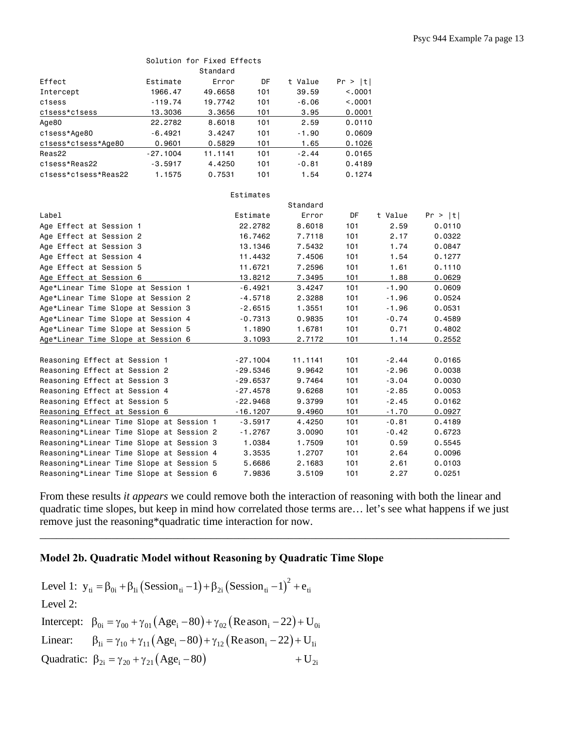|                                    |            | Solution for Fixed Effects |           |          |         |         |         |
|------------------------------------|------------|----------------------------|-----------|----------|---------|---------|---------|
|                                    |            | Standard                   |           |          |         |         |         |
| Effect                             | Estimate   | Error                      | DF        | t Value  | Pr >  t |         |         |
| Intercept                          | 1966.47    | 49,6658                    | 101       | 39.59    | < 0.001 |         |         |
| c1sess                             | $-119.74$  | 19,7742                    | 101       | $-6.06$  | < 0.001 |         |         |
| c1sess*c1sess                      | 13.3036    | 3.3656                     | 101       | 3.95     | 0.0001  |         |         |
| Age80                              | 22,2782    | 8,6018                     | 101       | 2.59     | 0.0110  |         |         |
| c1sess*Age80                       | $-6.4921$  | 3.4247                     | 101       | $-1.90$  | 0.0609  |         |         |
| c1sess*c1sess*Age80                | 0.9601     | 0.5829                     | 101       | 1.65     | 0.1026  |         |         |
| Reas22                             | $-27.1004$ | 11.1141                    | 101       | $-2.44$  | 0.0165  |         |         |
| c1sess*Reas22                      | $-3.5917$  | 4.4250                     | 101       | $-0.81$  | 0.4189  |         |         |
| c1sess*c1sess*Reas22               | 1.1575     | 0.7531                     | 101       | 1.54     | 0.1274  |         |         |
|                                    |            |                            | Estimates |          |         |         |         |
|                                    |            |                            |           | Standard |         |         |         |
| Label                              |            |                            | Estimate  | Error    | DF      | t Value | Pr >  t |
| Age Effect at Session 1            |            |                            | 22,2782   | 8,6018   | 101     | 2.59    | 0.0110  |
| Age Effect at Session 2            |            |                            | 16,7462   | 7.7118   | 101     | 2.17    | 0.0322  |
| Age Effect at Session 3            |            |                            | 13.1346   | 7.5432   | 101     | 1.74    | 0.0847  |
| Age Effect at Session 4            |            |                            | 11,4432   | 7.4506   | 101     | 1.54    | 0.1277  |
| Age Effect at Session 5            |            |                            | 11,6721   | 7.2596   | 101     | 1.61    | 0.1110  |
| Age Effect at Session 6            |            |                            | 13.8212   | 7.3495   | 101     | 1.88    | 0.0629  |
| Age*Linear Time Slope at Session 1 |            |                            | $-6.4921$ | 3.4247   | 101     | $-1.90$ | 0.0609  |
| Age*Linear Time Slope at Session 2 |            |                            | $-4.5718$ | 2.3288   | 101     | $-1.96$ | 0.0524  |
| Age*Linear Time Slope at Session 3 |            |                            | $-2.6515$ | 1.3551   | 101     | $-1.96$ | 0.0531  |
| Age*Linear Time Slope at Session 4 |            |                            | $-0.7313$ | 0.9835   | 101     | $-0.74$ | 0.4589  |

| Aqe*Linear Time Slope at Session 3       | -2.0515    | 1.3551  | וטו | - 1.96  | <u>0.0531</u> |
|------------------------------------------|------------|---------|-----|---------|---------------|
| Age*Linear Time Slope at Session 4       | $-0.7313$  | 0.9835  | 101 | $-0.74$ | 0.4589        |
| Age*Linear Time Slope at Session 5       | 1,1890     | 1.6781  | 101 | 0.71    | 0.4802        |
| Age*Linear Time Slope at Session 6       | 3,1093     | 2.7172  | 101 | 1.14    | 0.2552        |
|                                          |            |         |     |         |               |
| Reasoning Effect at Session 1            | $-27.1004$ | 11.1141 | 101 | $-2.44$ | 0.0165        |
| Reasoning Effect at Session 2            | $-29.5346$ | 9.9642  | 101 | $-2.96$ | 0.0038        |
| Reasoning Effect at Session 3            | $-29.6537$ | 9.7464  | 101 | $-3.04$ | 0.0030        |
| Reasoning Effect at Session 4            | $-27.4578$ | 9.6268  | 101 | $-2.85$ | 0.0053        |
| Reasoning Effect at Session 5            | $-22.9468$ | 9.3799  | 101 | $-2.45$ | 0.0162        |
| Reasoning Effect at Session 6            | $-16.1207$ | 9,4960  | 101 | $-1.70$ | 0.0927        |
| Reasoning*Linear Time Slope at Session 1 | $-3.5917$  | 4.4250  | 101 | $-0.81$ | 0.4189        |
| Reasoning*Linear Time Slope at Session 2 | $-1.2767$  | 3,0090  | 101 | $-0.42$ | 0.6723        |
| Reasoning*Linear Time Slope at Session 3 | 1,0384     | 1,7509  | 101 | 0.59    | 0.5545        |
| Reasoning*Linear Time Slope at Session 4 | 3.3535     | 1,2707  | 101 | 2.64    | 0.0096        |
| Reasoning*Linear Time Slope at Session 5 | 5.6686     | 2.1683  | 101 | 2.61    | 0.0103        |
| Reasoning*Linear Time Slope at Session 6 | 7.9836     | 3.5109  | 101 | 2.27    | 0.0251        |
|                                          |            |         |     |         |               |

From these results *it appears* we could remove both the interaction of reasoning with both the linear and quadratic time slopes, but keep in mind how correlated those terms are… let's see what happens if we just remove just the reasoning\*quadratic time interaction for now.

\_\_\_\_\_\_\_\_\_\_\_\_\_\_\_\_\_\_\_\_\_\_\_\_\_\_\_\_\_\_\_\_\_\_\_\_\_\_\_\_\_\_\_\_\_\_\_\_\_\_\_\_\_\_\_\_\_\_\_\_\_\_\_\_\_\_\_\_\_\_\_\_\_\_\_\_\_\_\_\_\_\_\_\_\_

## **Model 2b. Quadratic Model without Reasoning by Quadratic Time Slope**

 $(Session_{ti}-1)+\beta_{2i}(Session_{ti}-1)^2$ Intercept:  $\beta_{0i} = \gamma_{00} + \gamma_{01} (Age_i - 80) + \gamma_{02} (Reason_i - 22) + U_{0i}$ Linear:  $\beta_{1i} = \gamma_{10} + \gamma_{11} (Age_i - 80) + \gamma_{12} (Reason_i - 22) + U_{1i}$ Quadratic:  $\beta_{2i} = \gamma_{20} + \gamma_{21} (Age_i - 80) + U_{2i}$ Level 1:  $y_{ti} = \beta_{0i} + \beta_{1i} (Session_{ti} - 1) + \beta_{2i} (Session_{ti} - 1)^{2} + e_{ti}$ Level 2: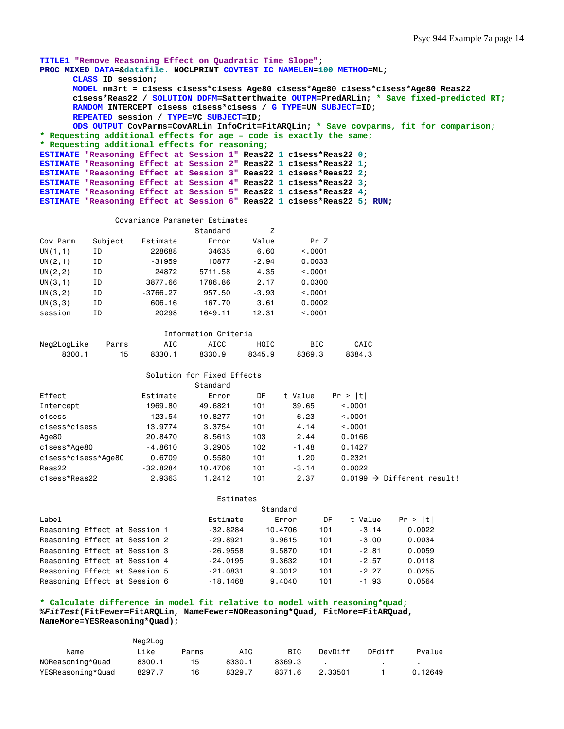```
TITLE1 "Remove Reasoning Effect on Quadratic Time Slope"; 
PROC MIXED DATA=&datafile. NOCLPRINT COVTEST IC NAMELEN=100 METHOD=ML; 
      CLASS ID session; 
      MODEL nm3rt = c1sess c1sess*c1sess Age80 c1sess*Age80 c1sess*c1sess*Age80 Reas22 
       c1sess*Reas22 / SOLUTION DDFM=Satterthwaite OUTPM=PredARLin; * Save fixed-predicted RT;
      RANDOM INTERCEPT c1sess c1sess*c1sess / G TYPE=UN SUBJECT=ID; 
      REPEATED session / TYPE=VC SUBJECT=ID; 
      ODS OUTPUT CovParms=CovARLin InfoCrit=FitARQLin; * Save covparms, fit for comparison;
* Requesting additional effects for age – code is exactly the same;
* Requesting additional effects for reasoning; 
ESTIMATE "Reasoning Effect at Session 1" Reas22 1 c1sess*Reas22 0; 
ESTIMATE "Reasoning Effect at Session 2" Reas22 1 c1sess*Reas22 1; 
ESTIMATE "Reasoning Effect at Session 3" Reas22 1 c1sess*Reas22 2; 
ESTIMATE "Reasoning Effect at Session 4" Reas22 1 c1sess*Reas22 3; 
ESTIMATE "Reasoning Effect at Session 5" Reas22 1 c1sess*Reas22 4; 
ESTIMATE "Reasoning Effect at Session 6" Reas22 1 c1sess*Reas22 5; RUN;
```
#### Covariance Parameter Estimates

|          |         |            | Standard | Z       |         |
|----------|---------|------------|----------|---------|---------|
| Cov Parm | Subject | Estimate   | Error    | Value   | Pr Z    |
| UN(1,1)  | ΙD      | 228688     | 34635    | 6.60    | < 0.001 |
| UN(2,1)  | ΙD      | $-31959$   | 10877    | $-2.94$ | 0.0033  |
| UN(2, 2) | ΙD      | 24872      | 5711.58  | 4.35    | < 0.001 |
| UN(3,1)  | ΙD      | 3877.66    | 1786.86  | 2.17    | 0.0300  |
| UN(3, 2) | ΙD      | $-3766.27$ | 957.50   | $-3.93$ | < 0.001 |
| UN(3,3)  | ΙD      | 606.16     | 167.70   | 3.61    | 0.0002  |
| session  | ΙD      | 20298      | 1649.11  | 12.31   | < 0.001 |

| Information Criteria |       |        |        |        |        |        |  |  |
|----------------------|-------|--------|--------|--------|--------|--------|--|--|
| Neg2LogLike          | Parms | AIC    | ATCC.  | HQIC   | BIC    | CAIC   |  |  |
| 8300.1               | 15.   | 8330.1 | 8330.9 | 8345.9 | 8369.3 | 8384.3 |  |  |

|                     |            | Solution for Fixed Effects |     |         |         |                                        |
|---------------------|------------|----------------------------|-----|---------|---------|----------------------------------------|
|                     |            | Standard                   |     |         |         |                                        |
| Effect              | Estimate   | Error                      | DF  | t Value | Pr >  t |                                        |
| Intercept           | 1969.80    | 49,6821                    | 101 | 39.65   | < 0.001 |                                        |
| c1sess              | $-123.54$  | 19,8277                    | 101 | $-6.23$ | < 0.001 |                                        |
| c1sess*c1sess       | 13,9774    | 3.3754                     | 101 | 4.14    | < .0001 |                                        |
| Age80               | 20,8470    | 8,5613                     | 103 | 2.44    | 0.0166  |                                        |
| c1sess*Age80        | $-4.8610$  | 3,2905                     | 102 | $-1.48$ | 0.1427  |                                        |
| c1sess*c1sess*Age80 | 0.6709     | 0.5580                     | 101 | 1.20    | 0.2321  |                                        |
| Reas22              | $-32,8284$ | 10,4706                    | 101 | $-3.14$ | 0.0022  |                                        |
| c1sess*Reas22       | 2,9363     | 1.2412                     | 101 | 2.37    |         | $0.0199 \rightarrow$ Different result! |

|                               |  |  |            | Standard |     |         |         |
|-------------------------------|--|--|------------|----------|-----|---------|---------|
| Label                         |  |  | Estimate   | Error    | DF  | t Value | Pr >  t |
| Reasoning Effect at Session 1 |  |  | $-32.8284$ | 10.4706  | 101 | $-3.14$ | 0.0022  |
| Reasoning Effect at Session 2 |  |  | $-29.8921$ | 9.9615   | 101 | $-3.00$ | 0.0034  |
| Reasoning Effect at Session 3 |  |  | $-26.9558$ | 9.5870   | 101 | $-2.81$ | 0.0059  |
| Reasoning Effect at Session 4 |  |  | $-24.0195$ | 9,3632   | 101 | $-2.57$ | 0.0118  |
| Reasoning Effect at Session 5 |  |  | $-21.0831$ | 9.3012   | 101 | $-2.27$ | 0.0255  |
| Reasoning Effect at Session 6 |  |  | $-18.1468$ | 9,4040   | 101 | $-1.93$ | 0.0564  |

#### **\* Calculate difference in model fit relative to model with reasoning\*quad; %***FitTest***(FitFewer=FitARQLin, NameFewer=NOReasoning\*Quad, FitMore=FitARQuad, NameMore=YESReasoning\*Quad);**

Neg2Log

|                   | nqLUq  |       |        |            |         |        |         |
|-------------------|--------|-------|--------|------------|---------|--------|---------|
| Name              | Like   | Parms | AIC    | <b>BIC</b> | DevDiff | DFdiff | Pvalue  |
| NOReasoning*Quad  | 8300.1 |       | 8330.1 | 8369.3     |         |        |         |
| YESReasoning*Quad | 8297.7 | 16    | 8329.7 | 8371.6     | 2.33501 |        | 0.12649 |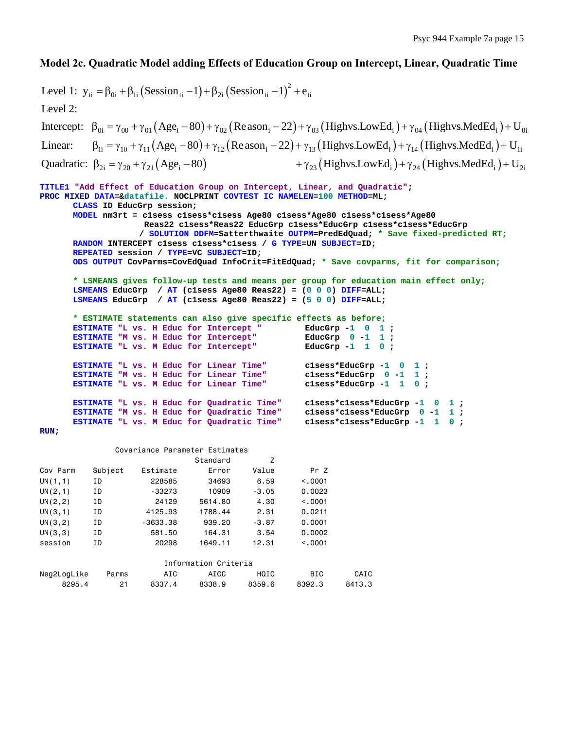## **Model 2c. Quadratic Model adding Effects of Education Group on Intercept, Linear, Quadratic Time**

```
(Session_{\rm ti}-1)+\beta_{2i}(Session_{\rm ti}-1)^2Intercept: \beta_{0i} = \gamma_{00} + \gamma_{01} (Age_i - 80) + \gamma_{02} (Reason_i - 22) + \gamma_{03} (Highvs. LowEd_i) + \gamma_{04} (Highvs. MedEd_i) + U_{0i}Linear: \beta_{1i} = \gamma_{10} + \gamma_{11} (\text{Age}_i - 80) + \gamma_{12} (\text{Reason}_i - 22) + \gamma_{13} (\text{Highvs.LowEd}_i) + \gamma_{14} (\text{Highvs.MedEd}_i) + U_{1i}Level 1: y_{ti} = \beta_{0i} + \beta_{1i} (Session_{ti} - 1) + \beta_{2i} (Session_{ti} - 1)^{2} + e_{ti}Level 2: 
Quadratic: \beta_{2i} = \gamma_{20} + \gamma_{21} (Age_i - 80) + \gamma_{23} (Highvs. LowEd_i) + \gamma_{24} (Highvs. MedEd_i) + U_{2i}TITLE1 "Add Effect of Education Group on Intercept, Linear, and Quadratic";
PROC MIXED DATA=&datafile. NOCLPRINT COVTEST IC NAMELEN=100 METHOD=ML; 
        CLASS ID EducGrp session; 
        MODEL nm3rt = c1sess c1sess*c1sess Age80 c1sess*Age80 c1sess*c1sess*Age80 
                         Reas22 c1sess*Reas22 EducGrp c1sess*EducGrp c1sess*c1sess*EducGrp 
                         / SOLUTION DDFM=Satterthwaite OUTPM=PredEdQuad; * Save fixed-predicted RT;
        RANDOM INTERCEPT c1sess c1sess*c1sess / G TYPE=UN SUBJECT=ID; 
        REPEATED session / TYPE=VC SUBJECT=ID; 
        ODS OUTPUT CovParms=CovEdQuad InfoCrit=FitEdQuad; * Save covparms, fit for comparison; 
        * LSMEANS gives follow-up tests and means per group for education main effect only;
       LSMEANS EducGrp / AT (c1sess Age80 Reas22) = (0 0 0) DIFF=ALL; 
        LSMEANS EducGrp / AT (c1sess Age80 Reas22) = (5 0 0) DIFF=ALL; 
        * ESTIMATE statements can also give specific effects as before;
        ESTIMATE "L vs. H Educ for Intercept " EducGrp -1 0 1 ; 
        ESTIMATE "M vs. H Educ for Intercept" EducGrp 0 -1 1 ; 
        ESTIMATE "L vs. M Educ for Intercept" EducGrp -1 1 0 ; 
        ESTIMATE "L vs. H Educ for Linear Time" clsess*EducGrp -1 0 1;<br>ESTIMATE "M vs. H Educ for Linear Time" clsess*EducGrp 0 -1 1;
        ESTIMATE "M vs. H Educ for Linear Time" clsess*EducGrp 0 -1 1 ;<br>ESTIMATE "L vs. M Educ for Linear Time" clsess*EducGrp -1 1 0 ;
        ESTIMATE "L vs. M Educ for Linear Time"
        ESTIMATE "L vs. H Educ for Quadratic Time" clsess*clsess*EducGrp -1 0 1;<br>ESTIMATE "M vs. H Educ for Quadratic Time" clsess*clsess*EducGrp 0 -1 1;
       ESTIMATE "M vs. H Educ for Quadratic Time" clsess*clsess*EducGrp 0 -1 1 ;<br>ESTIMATE "L vs. M Educ for Quadratic Time" clsess*clsess*EducGrp -1 1 0 ;
        ESTIMATE "L vs. M Educ for Quadratic Time"
RUN; 
                   Covariance Parameter Estimates 
                                      Standard Z 
Cov Parm Subject Estimate Error Value Pr Z 
UN(1,1) ID 228585 34693 6.59 <.0001 
UN(2,1) ID -33273 10909 -3.05 0.0023 
UN(2,2) ID 24129 5614.80 4.30 <.0001
```

| UN(3,1)     | ΙD    | 4125.93    | 1788.44              | 2.31    | 0.0211  |        |
|-------------|-------|------------|----------------------|---------|---------|--------|
| UN(3, 2)    | ΙD    | $-3633.38$ | 939.20               | $-3.87$ | 0.0001  |        |
| UN(3,3)     | ΙD    | 581.50     | 164.31               | 3.54    | 0.0002  |        |
| session     | ΙD    | 20298      | 1649.11              | 12.31   | < 0.001 |        |
|             |       |            |                      |         |         |        |
|             |       |            | Information Criteria |         |         |        |
| Neg2LogLike | Parms | AIC        | AICC                 | HQIC    | BIC.    | CAIC   |
| 8295.4      | 21    | 8337.4     | 8338.9               | 8359.6  | 8392.3  | 8413.3 |
|             |       |            |                      |         |         |        |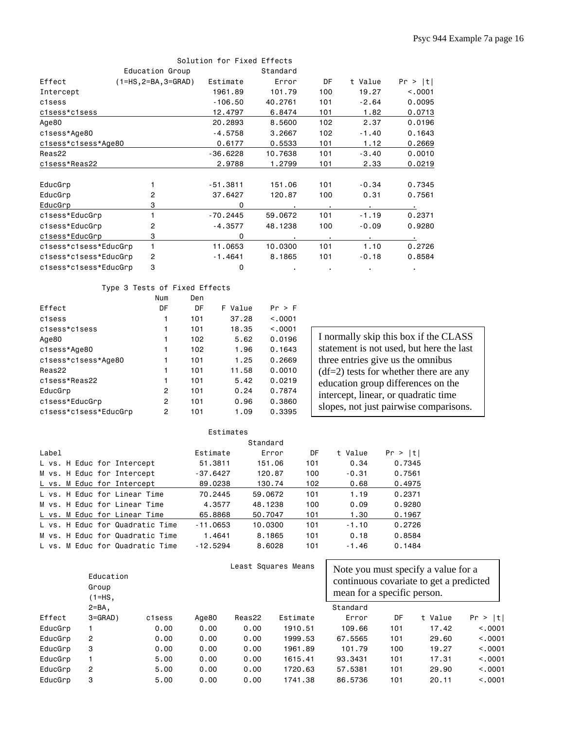|                       |                        | Solution for Fixed Effects |          |     |         |         |
|-----------------------|------------------------|----------------------------|----------|-----|---------|---------|
|                       | Education Group        |                            | Standard |     |         |         |
| Effect                | $(1=HS, 2=BA, 3=GRAD)$ | Estimate                   | Error    | DF  | t Value | Pr >  t |
| Intercept             |                        | 1961.89                    | 101.79   | 100 | 19.27   | < 0.001 |
| c1sess                |                        | $-106.50$                  | 40,2761  | 101 | $-2.64$ | 0.0095  |
| c1sess*c1sess         |                        | 12.4797                    | 6.8474   | 101 | 1.82    | 0.0713  |
| Age80                 |                        | 20,2893                    | 8,5600   | 102 | 2.37    | 0.0196  |
| c1sess*Age80          |                        | $-4.5758$                  | 3,2667   | 102 | $-1.40$ | 0.1643  |
| c1sess*c1sess*Age80   |                        | 0.6177                     | 0.5533   | 101 | 1.12    | 0.2669  |
| Reas22                |                        | $-36.6228$                 | 10.7638  | 101 | $-3.40$ | 0.0010  |
| c1sess*Reas22         |                        | 2.9788                     | 1.2799   | 101 | 2.33    | 0.0219  |
| EducGrp               |                        | $-51.3811$                 | 151.06   | 101 | $-0.34$ | 0.7345  |
| EducGrp               | 2                      | 37.6427                    | 120.87   | 100 | 0.31    | 0.7561  |
| EducGrp               | 3                      | $\Omega$                   |          | ٠.  |         |         |
| c1sess*EducGrp        |                        | $-70.2445$                 | 59,0672  | 101 | $-1.19$ | 0.2371  |
| c1sess*EducGrp        | 2                      | $-4.3577$                  | 48,1238  | 100 | $-0.09$ | 0.9280  |
| c1sess*EducGrp        | 3                      | 0                          |          |     |         |         |
| c1sess*c1sess*EducGrp | 1                      | 11.0653                    | 10.0300  | 101 | 1.10    | 0.2726  |
| c1sess*c1sess*EducGrp | 2                      | $-1.4641$                  | 8,1865   | 101 | $-0.18$ | 0.8584  |
| c1sess*c1sess*EducGrp | 3                      | 0                          |          |     |         |         |

### Type 3 Tests of Fixed Effects

|                       | Num | Den |         |         |
|-----------------------|-----|-----|---------|---------|
| Effect                | DF  | DF  | F Value | Pr > F  |
| c1sess                | 1   | 101 | 37.28   | < 0.001 |
| c1sess*c1sess         | 1   | 101 | 18.35   | < 0.001 |
| Age80                 | 1   | 102 | 5.62    | 0.0196  |
| c1sess*Age80          | 1   | 102 | 1.96    | 0.1643  |
| c1sess*c1sess*Age80   | 1   | 101 | 1.25    | 0.2669  |
| Reas22                | 1   | 101 | 11.58   | 0.0010  |
| c1sess*Reas22         | 1   | 101 | 5.42    | 0.0219  |
| EducGrp               | 2   | 101 | 0.24    | 0.7874  |
| c1sess*EducGrp        | 2   | 101 | 0.96    | 0.3860  |
| c1sess*c1sess*EducGrp | 2   | 101 | 1.09    | 0.3395  |

I normally skip this box if the CLASS statement is not used, but here the last three entries give us the omnibus  $(df=2)$  tests for whether there are any education group differences on the intercept, linear, or quadratic time slopes, not just pairwise comparisons.

|       | Estimates |  |  |  |                                 |            |         |     |         |         |  |
|-------|-----------|--|--|--|---------------------------------|------------|---------|-----|---------|---------|--|
|       | Standard  |  |  |  |                                 |            |         |     |         |         |  |
| Label |           |  |  |  |                                 | Estimate   | Error   | DF  | t Value | Pr >  t |  |
|       |           |  |  |  | L vs. H Educ for Intercept      | 51.3811    | 151.06  | 101 | 0.34    | 0.7345  |  |
|       |           |  |  |  | M vs. H Educ for Intercept      | $-37.6427$ | 120.87  | 100 | $-0.31$ | 0.7561  |  |
|       |           |  |  |  | L vs. M Educ for Intercept      | 89.0238    | 130.74  | 102 | 0.68    | 0.4975  |  |
|       |           |  |  |  | L vs. H Educ for Linear Time    | 70.2445    | 59.0672 | 101 | 1.19    | 0.2371  |  |
|       |           |  |  |  | M vs. H Educ for Linear Time    | 4.3577     | 48.1238 | 100 | 0.09    | 0.9280  |  |
|       |           |  |  |  | L vs. M Educ for Linear Time    | 65,8868    | 50.7047 | 101 | 1.30    | 0.1967  |  |
|       |           |  |  |  | L vs. H Educ for Quadratic Time | $-11.0653$ | 10.0300 | 101 | $-1.10$ | 0.2726  |  |
|       |           |  |  |  | M vs. H Educ for Quadratic Time | 1.4641     | 8.1865  | 101 | 0.18    | 0.8584  |  |
|       |           |  |  |  | L vs. M Educ for Quadratic Time | $-12.5294$ | 8.6028  | 101 | $-1.46$ | 0.1484  |  |

|         | Education<br>Group<br>$(1=HS,$ |        |       |        | Least Squares Means | Note you must specify a value for a<br>continuous covariate to get a predicted<br>mean for a specific person. |     |         |          |  |
|---------|--------------------------------|--------|-------|--------|---------------------|---------------------------------------------------------------------------------------------------------------|-----|---------|----------|--|
|         | $2 = BA$ ,                     |        |       |        |                     | Standard                                                                                                      |     |         |          |  |
| Effect  | $3 = GRAD$ )                   | c1sess | Age80 | Reas22 | Estimate            | Error                                                                                                         | DF  | t Value | Pr >  t  |  |
| EducGrp |                                | 0.00   | 0.00  | 0.00   | 1910.51             | 109.66                                                                                                        | 101 | 17.42   | < 0.0001 |  |
| EducGrp | 2                              | 0.00   | 0.00  | 0.00   | 1999.53             | 67.5565                                                                                                       | 101 | 29,60   | < 0.001  |  |
| EducGrp | 3                              | 0.00   | 0.00  | 0.00   | 1961.89             | 101.79                                                                                                        | 100 | 19.27   | < 0.001  |  |
| EducGrp |                                | 5,00   | 0.00  | 0.00   | 1615.41             | 93,3431                                                                                                       | 101 | 17.31   | < 0.001  |  |
| EducGrp | 2                              | 5,00   | 0.00  | 0.00   | 1720.63             | 57.5381                                                                                                       | 101 | 29,90   | < 0.001  |  |
| EducGrp | 3                              | 5,00   | 0.00  | 0.00   | 1741.38             | 86,5736                                                                                                       | 101 | 20.11   | < 0.001  |  |